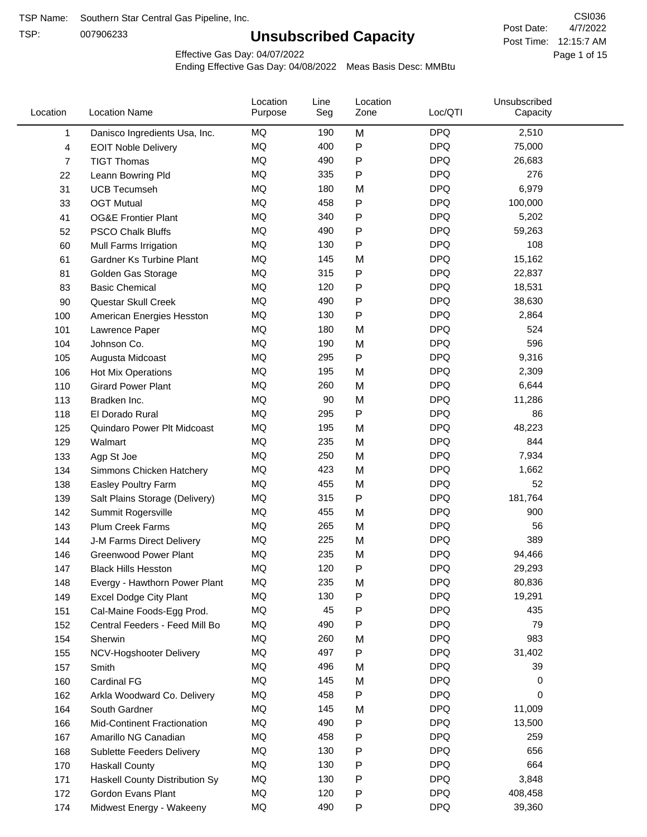TSP:

## **Unsubscribed Capacity**

4/7/2022 Page 1 of 15 Post Time: 12:15:7 AM CSI036 Post Date:

Effective Gas Day: 04/07/2022

| Location | <b>Location Name</b>             | Location<br>Purpose | Line<br>Seg | Location<br>Zone | Loc/QTI    | Unsubscribed<br>Capacity |  |
|----------|----------------------------------|---------------------|-------------|------------------|------------|--------------------------|--|
| 1        | Danisco Ingredients Usa, Inc.    | MQ                  | 190         | M                | <b>DPQ</b> | 2,510                    |  |
| 4        | <b>EOIT Noble Delivery</b>       | MQ                  | 400         | P                | <b>DPQ</b> | 75,000                   |  |
| 7        | <b>TIGT Thomas</b>               | MQ                  | 490         | P                | <b>DPQ</b> | 26,683                   |  |
| 22       | Leann Bowring Pld                | MQ                  | 335         | P                | <b>DPQ</b> | 276                      |  |
| 31       | <b>UCB Tecumseh</b>              | MQ                  | 180         | M                | <b>DPQ</b> | 6,979                    |  |
| 33       | <b>OGT Mutual</b>                | MQ                  | 458         | P                | <b>DPQ</b> | 100,000                  |  |
| 41       | <b>OG&amp;E Frontier Plant</b>   | MQ                  | 340         | P                | <b>DPQ</b> | 5,202                    |  |
| 52       | <b>PSCO Chalk Bluffs</b>         | MQ                  | 490         | P                | <b>DPQ</b> | 59,263                   |  |
| 60       | Mull Farms Irrigation            | MQ                  | 130         | P                | <b>DPQ</b> | 108                      |  |
| 61       | Gardner Ks Turbine Plant         | MQ                  | 145         | M                | <b>DPQ</b> | 15,162                   |  |
| 81       | Golden Gas Storage               | MQ                  | 315         | P                | <b>DPQ</b> | 22,837                   |  |
| 83       | <b>Basic Chemical</b>            | MQ                  | 120         | Ρ                | <b>DPQ</b> | 18,531                   |  |
| 90       | Questar Skull Creek              | MQ                  | 490         | P                | <b>DPQ</b> | 38,630                   |  |
| 100      | American Energies Hesston        | MQ                  | 130         | Ρ                | <b>DPQ</b> | 2,864                    |  |
| 101      | Lawrence Paper                   | MQ                  | 180         | M                | <b>DPQ</b> | 524                      |  |
| 104      | Johnson Co.                      | MQ                  | 190         | M                | <b>DPQ</b> | 596                      |  |
| 105      | Augusta Midcoast                 | MQ                  | 295         | P                | <b>DPQ</b> | 9,316                    |  |
| 106      | Hot Mix Operations               | MQ                  | 195         | M                | <b>DPQ</b> | 2,309                    |  |
| 110      | <b>Girard Power Plant</b>        | MQ                  | 260         | M                | <b>DPQ</b> | 6,644                    |  |
| 113      | Bradken Inc.                     | MQ                  | 90          | M                | <b>DPQ</b> | 11,286                   |  |
| 118      | El Dorado Rural                  | MQ                  | 295         | P                | <b>DPQ</b> | 86                       |  |
| 125      | Quindaro Power Plt Midcoast      | MQ                  | 195         | M                | <b>DPQ</b> | 48,223                   |  |
| 129      | Walmart                          | MQ                  | 235         | M                | <b>DPQ</b> | 844                      |  |
| 133      | Agp St Joe                       | MQ                  | 250         | M                | <b>DPQ</b> | 7,934                    |  |
| 134      | Simmons Chicken Hatchery         | MQ                  | 423         | M                | <b>DPQ</b> | 1,662                    |  |
| 138      | Easley Poultry Farm              | MQ                  | 455         | M                | <b>DPQ</b> | 52                       |  |
| 139      | Salt Plains Storage (Delivery)   | MQ                  | 315         | P                | <b>DPQ</b> | 181,764                  |  |
| 142      | Summit Rogersville               | MQ                  | 455         | M                | <b>DPQ</b> | 900                      |  |
| 143      | Plum Creek Farms                 | MQ                  | 265         | M                | <b>DPQ</b> | 56                       |  |
| 144      | J-M Farms Direct Delivery        | MQ                  | 225         | M                | <b>DPQ</b> | 389                      |  |
| 146      | <b>Greenwood Power Plant</b>     | MQ                  | 235         | M                | <b>DPQ</b> | 94,466                   |  |
| 147      | <b>Black Hills Hesston</b>       | MQ                  | 120         | Ρ                | <b>DPQ</b> | 29,293                   |  |
| 148      | Evergy - Hawthorn Power Plant    | MQ                  | 235         | M                | <b>DPQ</b> | 80,836                   |  |
| 149      | <b>Excel Dodge City Plant</b>    | MQ                  | 130         | P                | <b>DPQ</b> | 19,291                   |  |
| 151      | Cal-Maine Foods-Egg Prod.        | MQ                  | 45          | Ρ                | <b>DPQ</b> | 435                      |  |
| 152      | Central Feeders - Feed Mill Bo   | MQ                  | 490         | P                | <b>DPQ</b> | 79                       |  |
| 154      | Sherwin                          | MQ                  | 260         | M                | <b>DPQ</b> | 983                      |  |
| 155      | NCV-Hogshooter Delivery          | MQ                  | 497         | P                | <b>DPQ</b> | 31,402                   |  |
| 157      | Smith                            | MQ                  | 496         | M                | <b>DPQ</b> | 39                       |  |
| 160      | Cardinal FG                      | MQ                  | 145         | M                | <b>DPQ</b> | 0                        |  |
| 162      | Arkla Woodward Co. Delivery      | MQ                  | 458         | P                | <b>DPQ</b> | 0                        |  |
| 164      | South Gardner                    | MQ                  | 145         | M                | <b>DPQ</b> | 11,009                   |  |
| 166      | Mid-Continent Fractionation      | MQ                  | 490         | P                | <b>DPQ</b> | 13,500                   |  |
| 167      | Amarillo NG Canadian             | MQ                  | 458         | Ρ                | <b>DPQ</b> | 259                      |  |
| 168      | <b>Sublette Feeders Delivery</b> | MQ                  | 130         | Ρ                | <b>DPQ</b> | 656                      |  |
| 170      | <b>Haskall County</b>            | MQ                  | 130         | Ρ                | <b>DPQ</b> | 664                      |  |
| 171      | Haskell County Distribution Sy   | MQ                  | 130         | Ρ                | <b>DPQ</b> | 3,848                    |  |
| 172      | Gordon Evans Plant               | MQ                  | 120         | Ρ                | <b>DPQ</b> | 408,458                  |  |
| 174      | Midwest Energy - Wakeeny         | MQ                  | 490         | P                | <b>DPQ</b> | 39,360                   |  |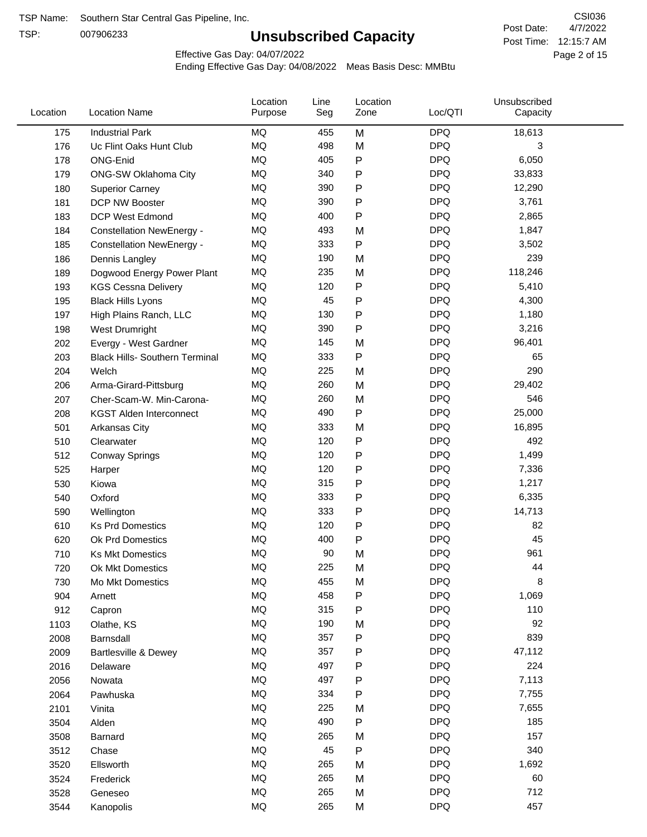TSP:

## **Unsubscribed Capacity**

4/7/2022 Page 2 of 15 Post Time: 12:15:7 AM CSI036 Post Date:

Effective Gas Day: 04/07/2022

| Location | <b>Location Name</b>                  | Location<br>Purpose | Line<br>Seg | Location<br>Zone | Loc/QTI    | Unsubscribed<br>Capacity |  |
|----------|---------------------------------------|---------------------|-------------|------------------|------------|--------------------------|--|
| 175      | <b>Industrial Park</b>                | MQ                  | 455         | M                | <b>DPQ</b> | 18,613                   |  |
| 176      | Uc Flint Oaks Hunt Club               | MQ                  | 498         | M                | <b>DPQ</b> | 3                        |  |
| 178      | ONG-Enid                              | MQ                  | 405         | P                | <b>DPQ</b> | 6,050                    |  |
| 179      | <b>ONG-SW Oklahoma City</b>           | MQ                  | 340         | P                | <b>DPQ</b> | 33,833                   |  |
| 180      | <b>Superior Carney</b>                | <b>MQ</b>           | 390         | P                | <b>DPQ</b> | 12,290                   |  |
| 181      | DCP NW Booster                        | <b>MQ</b>           | 390         | P                | <b>DPQ</b> | 3,761                    |  |
| 183      | <b>DCP West Edmond</b>                | <b>MQ</b>           | 400         | P                | <b>DPQ</b> | 2,865                    |  |
| 184      | <b>Constellation NewEnergy -</b>      | <b>MQ</b>           | 493         | M                | <b>DPQ</b> | 1,847                    |  |
| 185      | <b>Constellation NewEnergy -</b>      | MQ                  | 333         | P                | <b>DPQ</b> | 3,502                    |  |
| 186      | Dennis Langley                        | <b>MQ</b>           | 190         | M                | <b>DPQ</b> | 239                      |  |
| 189      | Dogwood Energy Power Plant            | MQ                  | 235         | M                | <b>DPQ</b> | 118,246                  |  |
| 193      | <b>KGS Cessna Delivery</b>            | MQ                  | 120         | P                | <b>DPQ</b> | 5,410                    |  |
| 195      | <b>Black Hills Lyons</b>              | <b>MQ</b>           | 45          | P                | <b>DPQ</b> | 4,300                    |  |
| 197      | High Plains Ranch, LLC                | <b>MQ</b>           | 130         | P                | <b>DPQ</b> | 1,180                    |  |
| 198      | West Drumright                        | <b>MQ</b>           | 390         | P                | <b>DPQ</b> | 3,216                    |  |
| 202      | Evergy - West Gardner                 | <b>MQ</b>           | 145         | M                | <b>DPQ</b> | 96,401                   |  |
| 203      | <b>Black Hills- Southern Terminal</b> | <b>MQ</b>           | 333         | P                | <b>DPQ</b> | 65                       |  |
| 204      | Welch                                 | MQ                  | 225         | M                | <b>DPQ</b> | 290                      |  |
| 206      | Arma-Girard-Pittsburg                 | <b>MQ</b>           | 260         | M                | <b>DPQ</b> | 29,402                   |  |
| 207      | Cher-Scam-W. Min-Carona-              | MQ                  | 260         | M                | <b>DPQ</b> | 546                      |  |
| 208      | <b>KGST Alden Interconnect</b>        | <b>MQ</b>           | 490         | P                | <b>DPQ</b> | 25,000                   |  |
| 501      | <b>Arkansas City</b>                  | <b>MQ</b>           | 333         | M                | <b>DPQ</b> | 16,895                   |  |
| 510      | Clearwater                            | <b>MQ</b>           | 120         | Ρ                | <b>DPQ</b> | 492                      |  |
| 512      | <b>Conway Springs</b>                 | <b>MQ</b>           | 120         | P                | <b>DPQ</b> | 1,499                    |  |
| 525      | Harper                                | <b>MQ</b>           | 120         | P                | <b>DPQ</b> | 7,336                    |  |
| 530      | Kiowa                                 | <b>MQ</b>           | 315         | P                | <b>DPQ</b> | 1,217                    |  |
| 540      | Oxford                                | <b>MQ</b>           | 333         | Ρ                | <b>DPQ</b> | 6,335                    |  |
| 590      | Wellington                            | <b>MQ</b>           | 333         | Ρ                | <b>DPQ</b> | 14,713                   |  |
| 610      | <b>Ks Prd Domestics</b>               | MQ                  | 120         | P                | <b>DPQ</b> | 82                       |  |
| 620      | Ok Prd Domestics                      | <b>MQ</b>           | 400         | P                | <b>DPQ</b> | 45                       |  |
| 710      | <b>Ks Mkt Domestics</b>               | <b>MQ</b>           | 90          | M                | <b>DPQ</b> | 961                      |  |
| 720      | Ok Mkt Domestics                      | MQ                  | 225         | M                | <b>DPQ</b> | 44                       |  |
| 730      | Mo Mkt Domestics                      | MQ                  | 455         | M                | <b>DPQ</b> | 8                        |  |
| 904      | Arnett                                | $\sf{MQ}$           | 458         | P                | <b>DPQ</b> | 1,069                    |  |
| 912      | Capron                                | $\sf{MQ}$           | 315         | Ρ                | <b>DPQ</b> | 110                      |  |
| 1103     | Olathe, KS                            | $\sf{MQ}$           | 190         | M                | <b>DPQ</b> | 92                       |  |
| 2008     | Barnsdall                             | MQ                  | 357         | P                | <b>DPQ</b> | 839                      |  |
| 2009     | Bartlesville & Dewey                  | MQ                  | 357         | Ρ                | <b>DPQ</b> | 47,112                   |  |
| 2016     | Delaware                              | MQ                  | 497         | Ρ                | <b>DPQ</b> | 224                      |  |
| 2056     | Nowata                                | $\sf{MQ}$           | 497         | Ρ                | <b>DPQ</b> | 7,113                    |  |
| 2064     | Pawhuska                              | MQ                  | 334         | Ρ                | <b>DPQ</b> | 7,755                    |  |
| 2101     | Vinita                                | MQ                  | 225         | M                | <b>DPQ</b> | 7,655                    |  |
| 3504     | Alden                                 | MQ                  | 490         | P                | <b>DPQ</b> | 185                      |  |
| 3508     | Barnard                               | $\sf{MQ}$           | 265         | M                | <b>DPQ</b> | 157                      |  |
| 3512     | Chase                                 | MQ                  | 45          | P                | <b>DPQ</b> | 340                      |  |
| 3520     | Ellsworth                             | MQ                  | 265         | M                | <b>DPQ</b> | 1,692                    |  |
| 3524     | Frederick                             | MQ                  | 265         | M                | <b>DPQ</b> | 60                       |  |
| 3528     | Geneseo                               | $\sf{MQ}$           | 265         | M                | <b>DPQ</b> | 712                      |  |
| 3544     | Kanopolis                             | $\sf{MQ}$           | 265         | M                | <b>DPQ</b> | 457                      |  |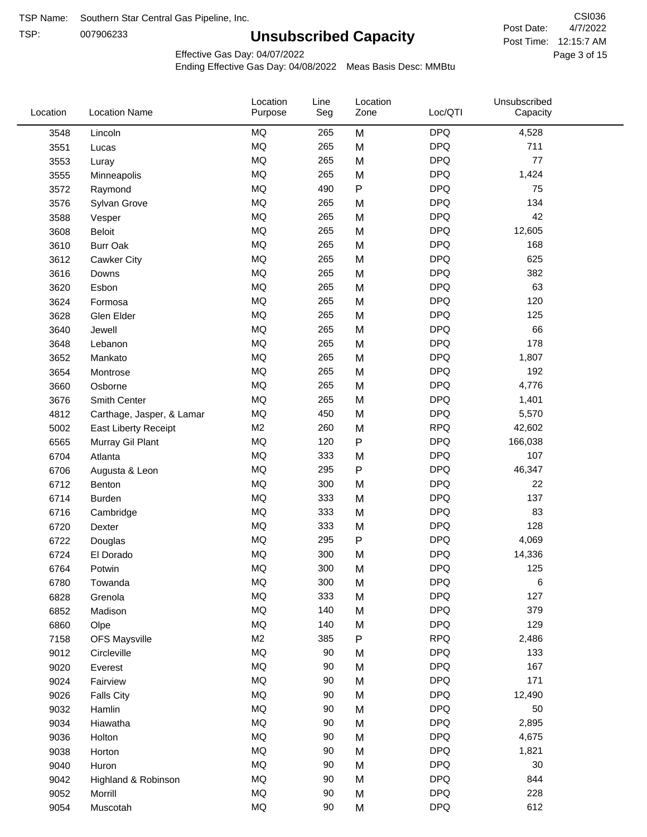TSP: 

# **Unsubscribed Capacity**

4/7/2022 Page 3 of 15 Post Time: 12:15:7 AM CSI036 Post Date:

Effective Gas Day: 04/07/2022

| Location | <b>Location Name</b>      | Location<br>Purpose | Line<br>Seg | Location<br>Zone | Loc/QTI    | Unsubscribed<br>Capacity |  |
|----------|---------------------------|---------------------|-------------|------------------|------------|--------------------------|--|
| 3548     | Lincoln                   | MQ                  | 265         | M                | <b>DPQ</b> | 4,528                    |  |
| 3551     | Lucas                     | MQ                  | 265         | M                | <b>DPQ</b> | 711                      |  |
| 3553     | Luray                     | MQ                  | 265         | M                | <b>DPQ</b> | 77                       |  |
| 3555     | Minneapolis               | MQ                  | 265         | M                | <b>DPQ</b> | 1,424                    |  |
| 3572     | Raymond                   | <b>MQ</b>           | 490         | P                | <b>DPQ</b> | 75                       |  |
| 3576     | Sylvan Grove              | MQ                  | 265         | M                | <b>DPQ</b> | 134                      |  |
| 3588     | Vesper                    | <b>MQ</b>           | 265         | M                | <b>DPQ</b> | 42                       |  |
| 3608     | <b>Beloit</b>             | <b>MQ</b>           | 265         | M                | <b>DPQ</b> | 12,605                   |  |
| 3610     | <b>Burr Oak</b>           | <b>MQ</b>           | 265         | M                | <b>DPQ</b> | 168                      |  |
| 3612     | Cawker City               | <b>MQ</b>           | 265         | M                | <b>DPQ</b> | 625                      |  |
| 3616     | Downs                     | <b>MQ</b>           | 265         | M                | <b>DPQ</b> | 382                      |  |
| 3620     | Esbon                     | <b>MQ</b>           | 265         | M                | <b>DPQ</b> | 63                       |  |
| 3624     | Formosa                   | <b>MQ</b>           | 265         | M                | <b>DPQ</b> | 120                      |  |
| 3628     | Glen Elder                | <b>MQ</b>           | 265         | M                | <b>DPQ</b> | 125                      |  |
| 3640     | Jewell                    | <b>MQ</b>           | 265         | M                | <b>DPQ</b> | 66                       |  |
| 3648     | Lebanon                   | <b>MQ</b>           | 265         | M                | <b>DPQ</b> | 178                      |  |
| 3652     | Mankato                   | <b>MQ</b>           | 265         | M                | <b>DPQ</b> | 1,807                    |  |
| 3654     | Montrose                  | <b>MQ</b>           | 265         | M                | <b>DPQ</b> | 192                      |  |
| 3660     | Osborne                   | <b>MQ</b>           | 265         | M                | <b>DPQ</b> | 4,776                    |  |
| 3676     | Smith Center              | <b>MQ</b>           | 265         | M                | <b>DPQ</b> | 1,401                    |  |
| 4812     | Carthage, Jasper, & Lamar | <b>MQ</b>           | 450         | M                | <b>DPQ</b> | 5,570                    |  |
| 5002     | East Liberty Receipt      | M <sub>2</sub>      | 260         | M                | <b>RPQ</b> | 42,602                   |  |
| 6565     | Murray Gil Plant          | <b>MQ</b>           | 120         | $\mathsf{P}$     | <b>DPQ</b> | 166,038                  |  |
| 6704     | Atlanta                   | <b>MQ</b>           | 333         | M                | <b>DPQ</b> | 107                      |  |
| 6706     | Augusta & Leon            | <b>MQ</b>           | 295         | P                | <b>DPQ</b> | 46,347                   |  |
| 6712     | Benton                    | <b>MQ</b>           | 300         | M                | <b>DPQ</b> | 22                       |  |
| 6714     | Burden                    | <b>MQ</b>           | 333         | M                | <b>DPQ</b> | 137                      |  |
| 6716     | Cambridge                 | <b>MQ</b>           | 333         | M                | <b>DPQ</b> | 83                       |  |
| 6720     | Dexter                    | MQ                  | 333         | M                | <b>DPQ</b> | 128                      |  |
| 6722     | Douglas                   | <b>MQ</b>           | 295         | P                | <b>DPQ</b> | 4,069                    |  |
| 6724     | El Dorado                 | <b>MQ</b>           | 300         | M                | <b>DPQ</b> | 14,336                   |  |
| 6764     | Potwin                    | <b>MQ</b>           | 300         | M                | <b>DPQ</b> | 125                      |  |
| 6780     | Towanda                   | MQ                  | 300         | M                | <b>DPQ</b> | 6                        |  |
| 6828     | Grenola                   | MQ                  | 333         | M                | <b>DPQ</b> | 127                      |  |
| 6852     | Madison                   | MQ                  | 140         | M                | <b>DPQ</b> | 379                      |  |
| 6860     | Olpe                      | MQ                  | 140         | M                | <b>DPQ</b> | 129                      |  |
| 7158     | <b>OFS Maysville</b>      | M <sub>2</sub>      | 385         | P                | <b>RPQ</b> | 2,486                    |  |
| 9012     | Circleville               | <b>MQ</b>           | 90          | M                | <b>DPQ</b> | 133                      |  |
| 9020     | Everest                   | $\sf{MQ}$           | 90          | M                | <b>DPQ</b> | 167                      |  |
| 9024     | Fairview                  | $\sf{MQ}$           | 90          | M                | <b>DPQ</b> | 171                      |  |
| 9026     | <b>Falls City</b>         | MQ                  | 90          | M                | <b>DPQ</b> | 12,490                   |  |
| 9032     | Hamlin                    | MQ                  | 90          | M                | <b>DPQ</b> | 50                       |  |
| 9034     | Hiawatha                  | MQ                  | 90          | M                | <b>DPQ</b> | 2,895                    |  |
| 9036     | Holton                    | MQ                  | 90          | M                | <b>DPQ</b> | 4,675                    |  |
| 9038     | Horton                    | MQ                  | 90          | M                | <b>DPQ</b> | 1,821                    |  |
| 9040     | Huron                     | MQ                  | 90          | M                | <b>DPQ</b> | 30                       |  |
| 9042     | Highland & Robinson       | MQ                  | 90          | M                | <b>DPQ</b> | 844                      |  |
| 9052     | Morrill                   | $\sf{MQ}$           | 90          | M                | <b>DPQ</b> | 228                      |  |
| 9054     | Muscotah                  | $\sf{MQ}$           | 90          | M                | <b>DPQ</b> | 612                      |  |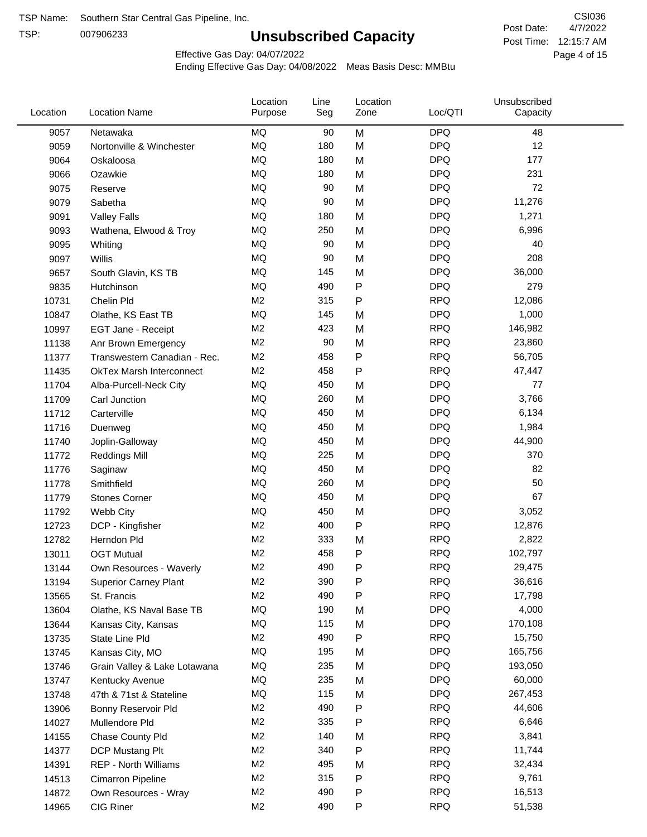TSP:

## **Unsubscribed Capacity**

4/7/2022 Page 4 of 15 Post Time: 12:15:7 AM CSI036 Post Date:

Effective Gas Day: 04/07/2022

| <b>DPQ</b><br>9057<br>Netawaka<br>MQ<br>90<br>M<br>48<br><b>DPQ</b><br>12<br>MQ<br>180<br>M<br>9059<br>Nortonville & Winchester<br><b>DPQ</b><br>MQ<br>180<br>M<br>177<br>9064<br>Oskaloosa<br><b>MQ</b><br><b>DPQ</b><br>231<br>180<br>9066<br>Ozawkie<br>M<br><b>MQ</b><br><b>DPQ</b><br>72<br>90<br>M<br>9075<br>Reserve<br><b>MQ</b><br><b>DPQ</b><br>90<br>11,276<br>9079<br>Sabetha<br>M<br><b>MQ</b><br><b>DPQ</b><br>180<br>M<br>1,271<br>9091<br><b>Valley Falls</b><br><b>MQ</b><br><b>DPQ</b><br>250<br>6,996<br>M<br>9093<br>Wathena, Elwood & Troy<br><b>DPQ</b><br>MQ<br>90<br>40<br>M<br>9095<br>Whiting<br><b>MQ</b><br><b>DPQ</b><br>208<br>90<br>M<br>9097<br>Willis<br><b>MQ</b><br><b>DPQ</b><br>36,000<br>145<br>M<br>9657<br>South Glavin, KS TB<br>P<br><b>DPQ</b><br>MQ<br>490<br>279<br>9835<br>Hutchinson<br>M <sub>2</sub><br><b>RPQ</b><br>315<br>12,086<br>10731<br>Chelin Pld<br>Ρ<br><b>MQ</b><br><b>DPQ</b><br>145<br>1,000<br>M<br>10847<br>Olathe, KS East TB<br>M <sub>2</sub><br><b>RPQ</b><br>423<br>146,982<br>M<br>10997<br>EGT Jane - Receipt<br><b>RPQ</b><br>M <sub>2</sub><br>90<br>M<br>23,860<br>11138<br>Anr Brown Emergency<br><b>RPQ</b><br>M <sub>2</sub><br>458<br>P<br>56,705<br>11377<br>Transwestern Canadian - Rec.<br><b>RPQ</b><br>M <sub>2</sub><br>458<br>Ρ<br>47,447<br>11435<br><b>OkTex Marsh Interconnect</b><br><b>MQ</b><br><b>DPQ</b><br>450<br>77<br>11704<br>Alba-Purcell-Neck City<br>M<br><b>MQ</b><br><b>DPQ</b><br>260<br>M<br>3,766<br>11709<br>Carl Junction<br><b>MQ</b><br><b>DPQ</b><br>450<br>6,134<br>M<br>11712<br>Carterville<br><b>MQ</b><br><b>DPQ</b><br>450<br>M<br>1,984<br>11716<br>Duenweg<br><b>MQ</b><br><b>DPQ</b><br>450<br>M<br>44,900<br>11740<br>Joplin-Galloway<br><b>MQ</b><br><b>DPQ</b><br>225<br>370<br>M<br>11772<br><b>Reddings Mill</b><br><b>MQ</b><br><b>DPQ</b><br>82<br>450<br>M<br>11776<br>Saginaw<br><b>MQ</b><br><b>DPQ</b><br>260<br>50<br>M<br>11778<br>Smithfield<br><b>MQ</b><br><b>DPQ</b><br>67<br>450<br>M<br>11779<br><b>Stones Corner</b><br><b>MQ</b><br><b>DPQ</b><br>450<br>3,052<br>11792<br>Webb City<br>M<br>M <sub>2</sub><br>P<br><b>RPQ</b><br>400<br>12,876<br>12723<br>DCP - Kingfisher<br><b>RPQ</b><br>M <sub>2</sub><br>333<br>2,822<br>M<br>12782<br>Herndon Pld<br>M <sub>2</sub><br>458<br>P<br><b>RPQ</b><br>102,797<br>13011<br><b>OGT Mutual</b><br>M <sub>2</sub><br>490<br>P<br><b>RPQ</b><br>29,475<br>13144<br>Own Resources - Waverly<br>M <sub>2</sub><br>390<br>Ρ<br><b>RPQ</b><br>36,616<br>13194<br><b>Superior Carney Plant</b><br>M <sub>2</sub><br>490<br><b>RPQ</b><br>Ρ<br>17,798<br>13565<br>St. Francis<br>MQ<br><b>DPQ</b><br>4,000<br>190<br>M<br>13604<br>Olathe, KS Naval Base TB<br>MQ<br>115<br><b>DPQ</b><br>170,108<br>13644<br>M<br>Kansas City, Kansas<br><b>RPQ</b><br>M <sub>2</sub><br>490<br>Ρ<br>15,750<br>13735<br>State Line Pld<br><b>DPQ</b><br>MQ<br>195<br>165,756<br>M<br>13745<br>Kansas City, MO<br>MQ<br>235<br><b>DPQ</b><br>193,050<br>13746<br>M<br>Grain Valley & Lake Lotawana<br>MQ<br>235<br><b>DPQ</b><br>60,000<br>13747<br>Kentucky Avenue<br>M<br>MQ<br>115<br><b>DPQ</b><br>267,453<br>13748<br>47th & 71st & Stateline<br>M<br><b>RPQ</b><br>M <sub>2</sub><br>490<br>Ρ<br>44,606<br>13906<br>Bonny Reservoir Pld<br>M <sub>2</sub><br>335<br><b>RPQ</b><br>6,646<br>Ρ<br>14027<br>Mullendore Pld<br>M <sub>2</sub><br>140<br><b>RPQ</b><br>M<br>3,841<br>14155<br>Chase County Pld<br>M <sub>2</sub><br>340<br><b>RPQ</b><br>11,744<br>Ρ<br>14377<br>DCP Mustang Plt<br>M <sub>2</sub><br>495<br><b>RPQ</b><br>32,434<br>14391<br><b>REP - North Williams</b><br>M<br><b>RPQ</b><br>M <sub>2</sub><br>315<br>P<br>9,761<br>14513<br>Cimarron Pipeline<br>M <sub>2</sub><br>490<br>Ρ<br><b>RPQ</b><br>16,513<br>14872<br>Own Resources - Wray | Location | <b>Location Name</b> | Location<br>Purpose | Line<br>Seg | Location<br>Zone | Loc/QTI    | Unsubscribed<br>Capacity |  |
|------------------------------------------------------------------------------------------------------------------------------------------------------------------------------------------------------------------------------------------------------------------------------------------------------------------------------------------------------------------------------------------------------------------------------------------------------------------------------------------------------------------------------------------------------------------------------------------------------------------------------------------------------------------------------------------------------------------------------------------------------------------------------------------------------------------------------------------------------------------------------------------------------------------------------------------------------------------------------------------------------------------------------------------------------------------------------------------------------------------------------------------------------------------------------------------------------------------------------------------------------------------------------------------------------------------------------------------------------------------------------------------------------------------------------------------------------------------------------------------------------------------------------------------------------------------------------------------------------------------------------------------------------------------------------------------------------------------------------------------------------------------------------------------------------------------------------------------------------------------------------------------------------------------------------------------------------------------------------------------------------------------------------------------------------------------------------------------------------------------------------------------------------------------------------------------------------------------------------------------------------------------------------------------------------------------------------------------------------------------------------------------------------------------------------------------------------------------------------------------------------------------------------------------------------------------------------------------------------------------------------------------------------------------------------------------------------------------------------------------------------------------------------------------------------------------------------------------------------------------------------------------------------------------------------------------------------------------------------------------------------------------------------------------------------------------------------------------------------------------------------------------------------------------------------------------------------------------------------------------------------------------------------------------------------------------------------------------------------------------------------------------------------------------------------------------------------------------------------------------------------------------------------------------------------------------------------------------------------------------------------------------------------------------------------------------------------------------------------------------------------------------------------------------------------------------------------------------------|----------|----------------------|---------------------|-------------|------------------|------------|--------------------------|--|
|                                                                                                                                                                                                                                                                                                                                                                                                                                                                                                                                                                                                                                                                                                                                                                                                                                                                                                                                                                                                                                                                                                                                                                                                                                                                                                                                                                                                                                                                                                                                                                                                                                                                                                                                                                                                                                                                                                                                                                                                                                                                                                                                                                                                                                                                                                                                                                                                                                                                                                                                                                                                                                                                                                                                                                                                                                                                                                                                                                                                                                                                                                                                                                                                                                                                                                                                                                                                                                                                                                                                                                                                                                                                                                                                                                                                                                                |          |                      |                     |             |                  |            |                          |  |
|                                                                                                                                                                                                                                                                                                                                                                                                                                                                                                                                                                                                                                                                                                                                                                                                                                                                                                                                                                                                                                                                                                                                                                                                                                                                                                                                                                                                                                                                                                                                                                                                                                                                                                                                                                                                                                                                                                                                                                                                                                                                                                                                                                                                                                                                                                                                                                                                                                                                                                                                                                                                                                                                                                                                                                                                                                                                                                                                                                                                                                                                                                                                                                                                                                                                                                                                                                                                                                                                                                                                                                                                                                                                                                                                                                                                                                                |          |                      |                     |             |                  |            |                          |  |
|                                                                                                                                                                                                                                                                                                                                                                                                                                                                                                                                                                                                                                                                                                                                                                                                                                                                                                                                                                                                                                                                                                                                                                                                                                                                                                                                                                                                                                                                                                                                                                                                                                                                                                                                                                                                                                                                                                                                                                                                                                                                                                                                                                                                                                                                                                                                                                                                                                                                                                                                                                                                                                                                                                                                                                                                                                                                                                                                                                                                                                                                                                                                                                                                                                                                                                                                                                                                                                                                                                                                                                                                                                                                                                                                                                                                                                                |          |                      |                     |             |                  |            |                          |  |
|                                                                                                                                                                                                                                                                                                                                                                                                                                                                                                                                                                                                                                                                                                                                                                                                                                                                                                                                                                                                                                                                                                                                                                                                                                                                                                                                                                                                                                                                                                                                                                                                                                                                                                                                                                                                                                                                                                                                                                                                                                                                                                                                                                                                                                                                                                                                                                                                                                                                                                                                                                                                                                                                                                                                                                                                                                                                                                                                                                                                                                                                                                                                                                                                                                                                                                                                                                                                                                                                                                                                                                                                                                                                                                                                                                                                                                                |          |                      |                     |             |                  |            |                          |  |
|                                                                                                                                                                                                                                                                                                                                                                                                                                                                                                                                                                                                                                                                                                                                                                                                                                                                                                                                                                                                                                                                                                                                                                                                                                                                                                                                                                                                                                                                                                                                                                                                                                                                                                                                                                                                                                                                                                                                                                                                                                                                                                                                                                                                                                                                                                                                                                                                                                                                                                                                                                                                                                                                                                                                                                                                                                                                                                                                                                                                                                                                                                                                                                                                                                                                                                                                                                                                                                                                                                                                                                                                                                                                                                                                                                                                                                                |          |                      |                     |             |                  |            |                          |  |
|                                                                                                                                                                                                                                                                                                                                                                                                                                                                                                                                                                                                                                                                                                                                                                                                                                                                                                                                                                                                                                                                                                                                                                                                                                                                                                                                                                                                                                                                                                                                                                                                                                                                                                                                                                                                                                                                                                                                                                                                                                                                                                                                                                                                                                                                                                                                                                                                                                                                                                                                                                                                                                                                                                                                                                                                                                                                                                                                                                                                                                                                                                                                                                                                                                                                                                                                                                                                                                                                                                                                                                                                                                                                                                                                                                                                                                                |          |                      |                     |             |                  |            |                          |  |
|                                                                                                                                                                                                                                                                                                                                                                                                                                                                                                                                                                                                                                                                                                                                                                                                                                                                                                                                                                                                                                                                                                                                                                                                                                                                                                                                                                                                                                                                                                                                                                                                                                                                                                                                                                                                                                                                                                                                                                                                                                                                                                                                                                                                                                                                                                                                                                                                                                                                                                                                                                                                                                                                                                                                                                                                                                                                                                                                                                                                                                                                                                                                                                                                                                                                                                                                                                                                                                                                                                                                                                                                                                                                                                                                                                                                                                                |          |                      |                     |             |                  |            |                          |  |
|                                                                                                                                                                                                                                                                                                                                                                                                                                                                                                                                                                                                                                                                                                                                                                                                                                                                                                                                                                                                                                                                                                                                                                                                                                                                                                                                                                                                                                                                                                                                                                                                                                                                                                                                                                                                                                                                                                                                                                                                                                                                                                                                                                                                                                                                                                                                                                                                                                                                                                                                                                                                                                                                                                                                                                                                                                                                                                                                                                                                                                                                                                                                                                                                                                                                                                                                                                                                                                                                                                                                                                                                                                                                                                                                                                                                                                                |          |                      |                     |             |                  |            |                          |  |
|                                                                                                                                                                                                                                                                                                                                                                                                                                                                                                                                                                                                                                                                                                                                                                                                                                                                                                                                                                                                                                                                                                                                                                                                                                                                                                                                                                                                                                                                                                                                                                                                                                                                                                                                                                                                                                                                                                                                                                                                                                                                                                                                                                                                                                                                                                                                                                                                                                                                                                                                                                                                                                                                                                                                                                                                                                                                                                                                                                                                                                                                                                                                                                                                                                                                                                                                                                                                                                                                                                                                                                                                                                                                                                                                                                                                                                                |          |                      |                     |             |                  |            |                          |  |
|                                                                                                                                                                                                                                                                                                                                                                                                                                                                                                                                                                                                                                                                                                                                                                                                                                                                                                                                                                                                                                                                                                                                                                                                                                                                                                                                                                                                                                                                                                                                                                                                                                                                                                                                                                                                                                                                                                                                                                                                                                                                                                                                                                                                                                                                                                                                                                                                                                                                                                                                                                                                                                                                                                                                                                                                                                                                                                                                                                                                                                                                                                                                                                                                                                                                                                                                                                                                                                                                                                                                                                                                                                                                                                                                                                                                                                                |          |                      |                     |             |                  |            |                          |  |
|                                                                                                                                                                                                                                                                                                                                                                                                                                                                                                                                                                                                                                                                                                                                                                                                                                                                                                                                                                                                                                                                                                                                                                                                                                                                                                                                                                                                                                                                                                                                                                                                                                                                                                                                                                                                                                                                                                                                                                                                                                                                                                                                                                                                                                                                                                                                                                                                                                                                                                                                                                                                                                                                                                                                                                                                                                                                                                                                                                                                                                                                                                                                                                                                                                                                                                                                                                                                                                                                                                                                                                                                                                                                                                                                                                                                                                                |          |                      |                     |             |                  |            |                          |  |
|                                                                                                                                                                                                                                                                                                                                                                                                                                                                                                                                                                                                                                                                                                                                                                                                                                                                                                                                                                                                                                                                                                                                                                                                                                                                                                                                                                                                                                                                                                                                                                                                                                                                                                                                                                                                                                                                                                                                                                                                                                                                                                                                                                                                                                                                                                                                                                                                                                                                                                                                                                                                                                                                                                                                                                                                                                                                                                                                                                                                                                                                                                                                                                                                                                                                                                                                                                                                                                                                                                                                                                                                                                                                                                                                                                                                                                                |          |                      |                     |             |                  |            |                          |  |
|                                                                                                                                                                                                                                                                                                                                                                                                                                                                                                                                                                                                                                                                                                                                                                                                                                                                                                                                                                                                                                                                                                                                                                                                                                                                                                                                                                                                                                                                                                                                                                                                                                                                                                                                                                                                                                                                                                                                                                                                                                                                                                                                                                                                                                                                                                                                                                                                                                                                                                                                                                                                                                                                                                                                                                                                                                                                                                                                                                                                                                                                                                                                                                                                                                                                                                                                                                                                                                                                                                                                                                                                                                                                                                                                                                                                                                                |          |                      |                     |             |                  |            |                          |  |
|                                                                                                                                                                                                                                                                                                                                                                                                                                                                                                                                                                                                                                                                                                                                                                                                                                                                                                                                                                                                                                                                                                                                                                                                                                                                                                                                                                                                                                                                                                                                                                                                                                                                                                                                                                                                                                                                                                                                                                                                                                                                                                                                                                                                                                                                                                                                                                                                                                                                                                                                                                                                                                                                                                                                                                                                                                                                                                                                                                                                                                                                                                                                                                                                                                                                                                                                                                                                                                                                                                                                                                                                                                                                                                                                                                                                                                                |          |                      |                     |             |                  |            |                          |  |
|                                                                                                                                                                                                                                                                                                                                                                                                                                                                                                                                                                                                                                                                                                                                                                                                                                                                                                                                                                                                                                                                                                                                                                                                                                                                                                                                                                                                                                                                                                                                                                                                                                                                                                                                                                                                                                                                                                                                                                                                                                                                                                                                                                                                                                                                                                                                                                                                                                                                                                                                                                                                                                                                                                                                                                                                                                                                                                                                                                                                                                                                                                                                                                                                                                                                                                                                                                                                                                                                                                                                                                                                                                                                                                                                                                                                                                                |          |                      |                     |             |                  |            |                          |  |
|                                                                                                                                                                                                                                                                                                                                                                                                                                                                                                                                                                                                                                                                                                                                                                                                                                                                                                                                                                                                                                                                                                                                                                                                                                                                                                                                                                                                                                                                                                                                                                                                                                                                                                                                                                                                                                                                                                                                                                                                                                                                                                                                                                                                                                                                                                                                                                                                                                                                                                                                                                                                                                                                                                                                                                                                                                                                                                                                                                                                                                                                                                                                                                                                                                                                                                                                                                                                                                                                                                                                                                                                                                                                                                                                                                                                                                                |          |                      |                     |             |                  |            |                          |  |
|                                                                                                                                                                                                                                                                                                                                                                                                                                                                                                                                                                                                                                                                                                                                                                                                                                                                                                                                                                                                                                                                                                                                                                                                                                                                                                                                                                                                                                                                                                                                                                                                                                                                                                                                                                                                                                                                                                                                                                                                                                                                                                                                                                                                                                                                                                                                                                                                                                                                                                                                                                                                                                                                                                                                                                                                                                                                                                                                                                                                                                                                                                                                                                                                                                                                                                                                                                                                                                                                                                                                                                                                                                                                                                                                                                                                                                                |          |                      |                     |             |                  |            |                          |  |
|                                                                                                                                                                                                                                                                                                                                                                                                                                                                                                                                                                                                                                                                                                                                                                                                                                                                                                                                                                                                                                                                                                                                                                                                                                                                                                                                                                                                                                                                                                                                                                                                                                                                                                                                                                                                                                                                                                                                                                                                                                                                                                                                                                                                                                                                                                                                                                                                                                                                                                                                                                                                                                                                                                                                                                                                                                                                                                                                                                                                                                                                                                                                                                                                                                                                                                                                                                                                                                                                                                                                                                                                                                                                                                                                                                                                                                                |          |                      |                     |             |                  |            |                          |  |
|                                                                                                                                                                                                                                                                                                                                                                                                                                                                                                                                                                                                                                                                                                                                                                                                                                                                                                                                                                                                                                                                                                                                                                                                                                                                                                                                                                                                                                                                                                                                                                                                                                                                                                                                                                                                                                                                                                                                                                                                                                                                                                                                                                                                                                                                                                                                                                                                                                                                                                                                                                                                                                                                                                                                                                                                                                                                                                                                                                                                                                                                                                                                                                                                                                                                                                                                                                                                                                                                                                                                                                                                                                                                                                                                                                                                                                                |          |                      |                     |             |                  |            |                          |  |
|                                                                                                                                                                                                                                                                                                                                                                                                                                                                                                                                                                                                                                                                                                                                                                                                                                                                                                                                                                                                                                                                                                                                                                                                                                                                                                                                                                                                                                                                                                                                                                                                                                                                                                                                                                                                                                                                                                                                                                                                                                                                                                                                                                                                                                                                                                                                                                                                                                                                                                                                                                                                                                                                                                                                                                                                                                                                                                                                                                                                                                                                                                                                                                                                                                                                                                                                                                                                                                                                                                                                                                                                                                                                                                                                                                                                                                                |          |                      |                     |             |                  |            |                          |  |
|                                                                                                                                                                                                                                                                                                                                                                                                                                                                                                                                                                                                                                                                                                                                                                                                                                                                                                                                                                                                                                                                                                                                                                                                                                                                                                                                                                                                                                                                                                                                                                                                                                                                                                                                                                                                                                                                                                                                                                                                                                                                                                                                                                                                                                                                                                                                                                                                                                                                                                                                                                                                                                                                                                                                                                                                                                                                                                                                                                                                                                                                                                                                                                                                                                                                                                                                                                                                                                                                                                                                                                                                                                                                                                                                                                                                                                                |          |                      |                     |             |                  |            |                          |  |
|                                                                                                                                                                                                                                                                                                                                                                                                                                                                                                                                                                                                                                                                                                                                                                                                                                                                                                                                                                                                                                                                                                                                                                                                                                                                                                                                                                                                                                                                                                                                                                                                                                                                                                                                                                                                                                                                                                                                                                                                                                                                                                                                                                                                                                                                                                                                                                                                                                                                                                                                                                                                                                                                                                                                                                                                                                                                                                                                                                                                                                                                                                                                                                                                                                                                                                                                                                                                                                                                                                                                                                                                                                                                                                                                                                                                                                                |          |                      |                     |             |                  |            |                          |  |
|                                                                                                                                                                                                                                                                                                                                                                                                                                                                                                                                                                                                                                                                                                                                                                                                                                                                                                                                                                                                                                                                                                                                                                                                                                                                                                                                                                                                                                                                                                                                                                                                                                                                                                                                                                                                                                                                                                                                                                                                                                                                                                                                                                                                                                                                                                                                                                                                                                                                                                                                                                                                                                                                                                                                                                                                                                                                                                                                                                                                                                                                                                                                                                                                                                                                                                                                                                                                                                                                                                                                                                                                                                                                                                                                                                                                                                                |          |                      |                     |             |                  |            |                          |  |
|                                                                                                                                                                                                                                                                                                                                                                                                                                                                                                                                                                                                                                                                                                                                                                                                                                                                                                                                                                                                                                                                                                                                                                                                                                                                                                                                                                                                                                                                                                                                                                                                                                                                                                                                                                                                                                                                                                                                                                                                                                                                                                                                                                                                                                                                                                                                                                                                                                                                                                                                                                                                                                                                                                                                                                                                                                                                                                                                                                                                                                                                                                                                                                                                                                                                                                                                                                                                                                                                                                                                                                                                                                                                                                                                                                                                                                                |          |                      |                     |             |                  |            |                          |  |
|                                                                                                                                                                                                                                                                                                                                                                                                                                                                                                                                                                                                                                                                                                                                                                                                                                                                                                                                                                                                                                                                                                                                                                                                                                                                                                                                                                                                                                                                                                                                                                                                                                                                                                                                                                                                                                                                                                                                                                                                                                                                                                                                                                                                                                                                                                                                                                                                                                                                                                                                                                                                                                                                                                                                                                                                                                                                                                                                                                                                                                                                                                                                                                                                                                                                                                                                                                                                                                                                                                                                                                                                                                                                                                                                                                                                                                                |          |                      |                     |             |                  |            |                          |  |
|                                                                                                                                                                                                                                                                                                                                                                                                                                                                                                                                                                                                                                                                                                                                                                                                                                                                                                                                                                                                                                                                                                                                                                                                                                                                                                                                                                                                                                                                                                                                                                                                                                                                                                                                                                                                                                                                                                                                                                                                                                                                                                                                                                                                                                                                                                                                                                                                                                                                                                                                                                                                                                                                                                                                                                                                                                                                                                                                                                                                                                                                                                                                                                                                                                                                                                                                                                                                                                                                                                                                                                                                                                                                                                                                                                                                                                                |          |                      |                     |             |                  |            |                          |  |
|                                                                                                                                                                                                                                                                                                                                                                                                                                                                                                                                                                                                                                                                                                                                                                                                                                                                                                                                                                                                                                                                                                                                                                                                                                                                                                                                                                                                                                                                                                                                                                                                                                                                                                                                                                                                                                                                                                                                                                                                                                                                                                                                                                                                                                                                                                                                                                                                                                                                                                                                                                                                                                                                                                                                                                                                                                                                                                                                                                                                                                                                                                                                                                                                                                                                                                                                                                                                                                                                                                                                                                                                                                                                                                                                                                                                                                                |          |                      |                     |             |                  |            |                          |  |
|                                                                                                                                                                                                                                                                                                                                                                                                                                                                                                                                                                                                                                                                                                                                                                                                                                                                                                                                                                                                                                                                                                                                                                                                                                                                                                                                                                                                                                                                                                                                                                                                                                                                                                                                                                                                                                                                                                                                                                                                                                                                                                                                                                                                                                                                                                                                                                                                                                                                                                                                                                                                                                                                                                                                                                                                                                                                                                                                                                                                                                                                                                                                                                                                                                                                                                                                                                                                                                                                                                                                                                                                                                                                                                                                                                                                                                                |          |                      |                     |             |                  |            |                          |  |
|                                                                                                                                                                                                                                                                                                                                                                                                                                                                                                                                                                                                                                                                                                                                                                                                                                                                                                                                                                                                                                                                                                                                                                                                                                                                                                                                                                                                                                                                                                                                                                                                                                                                                                                                                                                                                                                                                                                                                                                                                                                                                                                                                                                                                                                                                                                                                                                                                                                                                                                                                                                                                                                                                                                                                                                                                                                                                                                                                                                                                                                                                                                                                                                                                                                                                                                                                                                                                                                                                                                                                                                                                                                                                                                                                                                                                                                |          |                      |                     |             |                  |            |                          |  |
|                                                                                                                                                                                                                                                                                                                                                                                                                                                                                                                                                                                                                                                                                                                                                                                                                                                                                                                                                                                                                                                                                                                                                                                                                                                                                                                                                                                                                                                                                                                                                                                                                                                                                                                                                                                                                                                                                                                                                                                                                                                                                                                                                                                                                                                                                                                                                                                                                                                                                                                                                                                                                                                                                                                                                                                                                                                                                                                                                                                                                                                                                                                                                                                                                                                                                                                                                                                                                                                                                                                                                                                                                                                                                                                                                                                                                                                |          |                      |                     |             |                  |            |                          |  |
|                                                                                                                                                                                                                                                                                                                                                                                                                                                                                                                                                                                                                                                                                                                                                                                                                                                                                                                                                                                                                                                                                                                                                                                                                                                                                                                                                                                                                                                                                                                                                                                                                                                                                                                                                                                                                                                                                                                                                                                                                                                                                                                                                                                                                                                                                                                                                                                                                                                                                                                                                                                                                                                                                                                                                                                                                                                                                                                                                                                                                                                                                                                                                                                                                                                                                                                                                                                                                                                                                                                                                                                                                                                                                                                                                                                                                                                |          |                      |                     |             |                  |            |                          |  |
|                                                                                                                                                                                                                                                                                                                                                                                                                                                                                                                                                                                                                                                                                                                                                                                                                                                                                                                                                                                                                                                                                                                                                                                                                                                                                                                                                                                                                                                                                                                                                                                                                                                                                                                                                                                                                                                                                                                                                                                                                                                                                                                                                                                                                                                                                                                                                                                                                                                                                                                                                                                                                                                                                                                                                                                                                                                                                                                                                                                                                                                                                                                                                                                                                                                                                                                                                                                                                                                                                                                                                                                                                                                                                                                                                                                                                                                |          |                      |                     |             |                  |            |                          |  |
|                                                                                                                                                                                                                                                                                                                                                                                                                                                                                                                                                                                                                                                                                                                                                                                                                                                                                                                                                                                                                                                                                                                                                                                                                                                                                                                                                                                                                                                                                                                                                                                                                                                                                                                                                                                                                                                                                                                                                                                                                                                                                                                                                                                                                                                                                                                                                                                                                                                                                                                                                                                                                                                                                                                                                                                                                                                                                                                                                                                                                                                                                                                                                                                                                                                                                                                                                                                                                                                                                                                                                                                                                                                                                                                                                                                                                                                |          |                      |                     |             |                  |            |                          |  |
|                                                                                                                                                                                                                                                                                                                                                                                                                                                                                                                                                                                                                                                                                                                                                                                                                                                                                                                                                                                                                                                                                                                                                                                                                                                                                                                                                                                                                                                                                                                                                                                                                                                                                                                                                                                                                                                                                                                                                                                                                                                                                                                                                                                                                                                                                                                                                                                                                                                                                                                                                                                                                                                                                                                                                                                                                                                                                                                                                                                                                                                                                                                                                                                                                                                                                                                                                                                                                                                                                                                                                                                                                                                                                                                                                                                                                                                |          |                      |                     |             |                  |            |                          |  |
|                                                                                                                                                                                                                                                                                                                                                                                                                                                                                                                                                                                                                                                                                                                                                                                                                                                                                                                                                                                                                                                                                                                                                                                                                                                                                                                                                                                                                                                                                                                                                                                                                                                                                                                                                                                                                                                                                                                                                                                                                                                                                                                                                                                                                                                                                                                                                                                                                                                                                                                                                                                                                                                                                                                                                                                                                                                                                                                                                                                                                                                                                                                                                                                                                                                                                                                                                                                                                                                                                                                                                                                                                                                                                                                                                                                                                                                |          |                      |                     |             |                  |            |                          |  |
|                                                                                                                                                                                                                                                                                                                                                                                                                                                                                                                                                                                                                                                                                                                                                                                                                                                                                                                                                                                                                                                                                                                                                                                                                                                                                                                                                                                                                                                                                                                                                                                                                                                                                                                                                                                                                                                                                                                                                                                                                                                                                                                                                                                                                                                                                                                                                                                                                                                                                                                                                                                                                                                                                                                                                                                                                                                                                                                                                                                                                                                                                                                                                                                                                                                                                                                                                                                                                                                                                                                                                                                                                                                                                                                                                                                                                                                |          |                      |                     |             |                  |            |                          |  |
|                                                                                                                                                                                                                                                                                                                                                                                                                                                                                                                                                                                                                                                                                                                                                                                                                                                                                                                                                                                                                                                                                                                                                                                                                                                                                                                                                                                                                                                                                                                                                                                                                                                                                                                                                                                                                                                                                                                                                                                                                                                                                                                                                                                                                                                                                                                                                                                                                                                                                                                                                                                                                                                                                                                                                                                                                                                                                                                                                                                                                                                                                                                                                                                                                                                                                                                                                                                                                                                                                                                                                                                                                                                                                                                                                                                                                                                |          |                      |                     |             |                  |            |                          |  |
|                                                                                                                                                                                                                                                                                                                                                                                                                                                                                                                                                                                                                                                                                                                                                                                                                                                                                                                                                                                                                                                                                                                                                                                                                                                                                                                                                                                                                                                                                                                                                                                                                                                                                                                                                                                                                                                                                                                                                                                                                                                                                                                                                                                                                                                                                                                                                                                                                                                                                                                                                                                                                                                                                                                                                                                                                                                                                                                                                                                                                                                                                                                                                                                                                                                                                                                                                                                                                                                                                                                                                                                                                                                                                                                                                                                                                                                |          |                      |                     |             |                  |            |                          |  |
|                                                                                                                                                                                                                                                                                                                                                                                                                                                                                                                                                                                                                                                                                                                                                                                                                                                                                                                                                                                                                                                                                                                                                                                                                                                                                                                                                                                                                                                                                                                                                                                                                                                                                                                                                                                                                                                                                                                                                                                                                                                                                                                                                                                                                                                                                                                                                                                                                                                                                                                                                                                                                                                                                                                                                                                                                                                                                                                                                                                                                                                                                                                                                                                                                                                                                                                                                                                                                                                                                                                                                                                                                                                                                                                                                                                                                                                |          |                      |                     |             |                  |            |                          |  |
|                                                                                                                                                                                                                                                                                                                                                                                                                                                                                                                                                                                                                                                                                                                                                                                                                                                                                                                                                                                                                                                                                                                                                                                                                                                                                                                                                                                                                                                                                                                                                                                                                                                                                                                                                                                                                                                                                                                                                                                                                                                                                                                                                                                                                                                                                                                                                                                                                                                                                                                                                                                                                                                                                                                                                                                                                                                                                                                                                                                                                                                                                                                                                                                                                                                                                                                                                                                                                                                                                                                                                                                                                                                                                                                                                                                                                                                |          |                      |                     |             |                  |            |                          |  |
|                                                                                                                                                                                                                                                                                                                                                                                                                                                                                                                                                                                                                                                                                                                                                                                                                                                                                                                                                                                                                                                                                                                                                                                                                                                                                                                                                                                                                                                                                                                                                                                                                                                                                                                                                                                                                                                                                                                                                                                                                                                                                                                                                                                                                                                                                                                                                                                                                                                                                                                                                                                                                                                                                                                                                                                                                                                                                                                                                                                                                                                                                                                                                                                                                                                                                                                                                                                                                                                                                                                                                                                                                                                                                                                                                                                                                                                |          |                      |                     |             |                  |            |                          |  |
|                                                                                                                                                                                                                                                                                                                                                                                                                                                                                                                                                                                                                                                                                                                                                                                                                                                                                                                                                                                                                                                                                                                                                                                                                                                                                                                                                                                                                                                                                                                                                                                                                                                                                                                                                                                                                                                                                                                                                                                                                                                                                                                                                                                                                                                                                                                                                                                                                                                                                                                                                                                                                                                                                                                                                                                                                                                                                                                                                                                                                                                                                                                                                                                                                                                                                                                                                                                                                                                                                                                                                                                                                                                                                                                                                                                                                                                |          |                      |                     |             |                  |            |                          |  |
|                                                                                                                                                                                                                                                                                                                                                                                                                                                                                                                                                                                                                                                                                                                                                                                                                                                                                                                                                                                                                                                                                                                                                                                                                                                                                                                                                                                                                                                                                                                                                                                                                                                                                                                                                                                                                                                                                                                                                                                                                                                                                                                                                                                                                                                                                                                                                                                                                                                                                                                                                                                                                                                                                                                                                                                                                                                                                                                                                                                                                                                                                                                                                                                                                                                                                                                                                                                                                                                                                                                                                                                                                                                                                                                                                                                                                                                |          |                      |                     |             |                  |            |                          |  |
|                                                                                                                                                                                                                                                                                                                                                                                                                                                                                                                                                                                                                                                                                                                                                                                                                                                                                                                                                                                                                                                                                                                                                                                                                                                                                                                                                                                                                                                                                                                                                                                                                                                                                                                                                                                                                                                                                                                                                                                                                                                                                                                                                                                                                                                                                                                                                                                                                                                                                                                                                                                                                                                                                                                                                                                                                                                                                                                                                                                                                                                                                                                                                                                                                                                                                                                                                                                                                                                                                                                                                                                                                                                                                                                                                                                                                                                |          |                      |                     |             |                  |            |                          |  |
|                                                                                                                                                                                                                                                                                                                                                                                                                                                                                                                                                                                                                                                                                                                                                                                                                                                                                                                                                                                                                                                                                                                                                                                                                                                                                                                                                                                                                                                                                                                                                                                                                                                                                                                                                                                                                                                                                                                                                                                                                                                                                                                                                                                                                                                                                                                                                                                                                                                                                                                                                                                                                                                                                                                                                                                                                                                                                                                                                                                                                                                                                                                                                                                                                                                                                                                                                                                                                                                                                                                                                                                                                                                                                                                                                                                                                                                |          |                      |                     |             |                  |            |                          |  |
|                                                                                                                                                                                                                                                                                                                                                                                                                                                                                                                                                                                                                                                                                                                                                                                                                                                                                                                                                                                                                                                                                                                                                                                                                                                                                                                                                                                                                                                                                                                                                                                                                                                                                                                                                                                                                                                                                                                                                                                                                                                                                                                                                                                                                                                                                                                                                                                                                                                                                                                                                                                                                                                                                                                                                                                                                                                                                                                                                                                                                                                                                                                                                                                                                                                                                                                                                                                                                                                                                                                                                                                                                                                                                                                                                                                                                                                |          |                      |                     |             |                  |            |                          |  |
|                                                                                                                                                                                                                                                                                                                                                                                                                                                                                                                                                                                                                                                                                                                                                                                                                                                                                                                                                                                                                                                                                                                                                                                                                                                                                                                                                                                                                                                                                                                                                                                                                                                                                                                                                                                                                                                                                                                                                                                                                                                                                                                                                                                                                                                                                                                                                                                                                                                                                                                                                                                                                                                                                                                                                                                                                                                                                                                                                                                                                                                                                                                                                                                                                                                                                                                                                                                                                                                                                                                                                                                                                                                                                                                                                                                                                                                |          |                      |                     |             |                  |            |                          |  |
|                                                                                                                                                                                                                                                                                                                                                                                                                                                                                                                                                                                                                                                                                                                                                                                                                                                                                                                                                                                                                                                                                                                                                                                                                                                                                                                                                                                                                                                                                                                                                                                                                                                                                                                                                                                                                                                                                                                                                                                                                                                                                                                                                                                                                                                                                                                                                                                                                                                                                                                                                                                                                                                                                                                                                                                                                                                                                                                                                                                                                                                                                                                                                                                                                                                                                                                                                                                                                                                                                                                                                                                                                                                                                                                                                                                                                                                |          |                      |                     |             |                  |            |                          |  |
|                                                                                                                                                                                                                                                                                                                                                                                                                                                                                                                                                                                                                                                                                                                                                                                                                                                                                                                                                                                                                                                                                                                                                                                                                                                                                                                                                                                                                                                                                                                                                                                                                                                                                                                                                                                                                                                                                                                                                                                                                                                                                                                                                                                                                                                                                                                                                                                                                                                                                                                                                                                                                                                                                                                                                                                                                                                                                                                                                                                                                                                                                                                                                                                                                                                                                                                                                                                                                                                                                                                                                                                                                                                                                                                                                                                                                                                | 14965    | CIG Riner            | M <sub>2</sub>      | 490         | P                | <b>RPQ</b> | 51,538                   |  |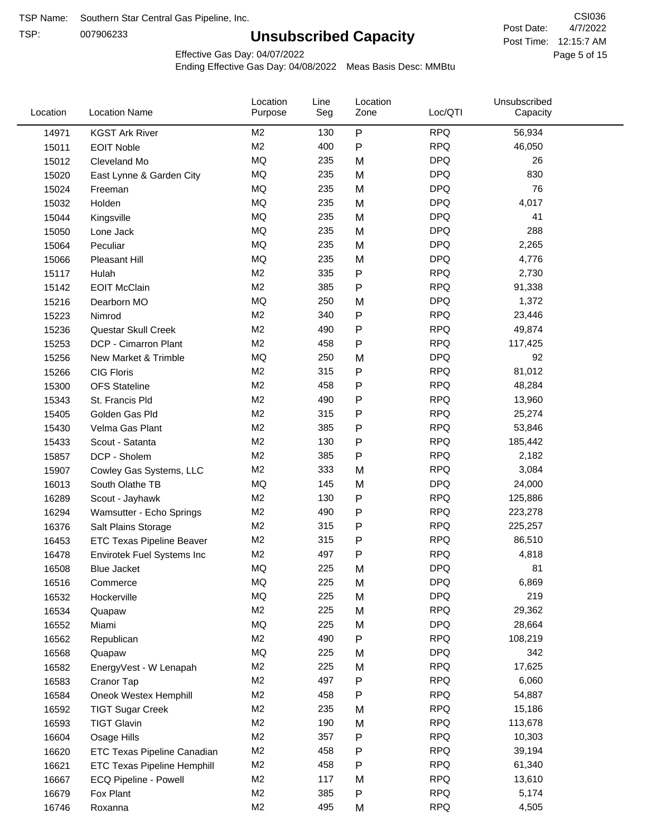TSP:

## **Unsubscribed Capacity**

4/7/2022 Page 5 of 15 Post Time: 12:15:7 AM CSI036 Post Date:

Effective Gas Day: 04/07/2022

| Location | <b>Location Name</b>               | Location<br>Purpose | Line<br>Seg | Location<br>Zone | Loc/QTI    | Unsubscribed<br>Capacity |  |
|----------|------------------------------------|---------------------|-------------|------------------|------------|--------------------------|--|
| 14971    | <b>KGST Ark River</b>              | M <sub>2</sub>      | 130         | P                | <b>RPQ</b> | 56,934                   |  |
| 15011    | <b>EOIT Noble</b>                  | M <sub>2</sub>      | 400         | P                | <b>RPQ</b> | 46,050                   |  |
| 15012    | Cleveland Mo                       | MQ                  | 235         | M                | <b>DPQ</b> | 26                       |  |
| 15020    | East Lynne & Garden City           | <b>MQ</b>           | 235         | M                | <b>DPQ</b> | 830                      |  |
| 15024    | Freeman                            | MQ                  | 235         | M                | <b>DPQ</b> | 76                       |  |
| 15032    | Holden                             | MQ                  | 235         | M                | <b>DPQ</b> | 4,017                    |  |
| 15044    | Kingsville                         | <b>MQ</b>           | 235         | M                | <b>DPQ</b> | 41                       |  |
| 15050    | Lone Jack                          | <b>MQ</b>           | 235         | M                | <b>DPQ</b> | 288                      |  |
| 15064    | Peculiar                           | <b>MQ</b>           | 235         | M                | <b>DPQ</b> | 2,265                    |  |
| 15066    | <b>Pleasant Hill</b>               | MQ                  | 235         | M                | <b>DPQ</b> | 4,776                    |  |
| 15117    | Hulah                              | M <sub>2</sub>      | 335         | P                | <b>RPQ</b> | 2,730                    |  |
| 15142    | <b>EOIT McClain</b>                | M <sub>2</sub>      | 385         | P                | <b>RPQ</b> | 91,338                   |  |
| 15216    | Dearborn MO                        | <b>MQ</b>           | 250         | M                | <b>DPQ</b> | 1,372                    |  |
| 15223    | Nimrod                             | M <sub>2</sub>      | 340         | P                | <b>RPQ</b> | 23,446                   |  |
| 15236    | Questar Skull Creek                | M <sub>2</sub>      | 490         | P                | <b>RPQ</b> | 49,874                   |  |
| 15253    | DCP - Cimarron Plant               | M <sub>2</sub>      | 458         | Ρ                | <b>RPQ</b> | 117,425                  |  |
| 15256    | New Market & Trimble               | MQ                  | 250         | M                | <b>DPQ</b> | 92                       |  |
| 15266    | <b>CIG Floris</b>                  | M <sub>2</sub>      | 315         | P                | <b>RPQ</b> | 81,012                   |  |
| 15300    | <b>OFS</b> Stateline               | M <sub>2</sub>      | 458         | P                | <b>RPQ</b> | 48,284                   |  |
| 15343    | St. Francis Pld                    | M <sub>2</sub>      | 490         | P                | <b>RPQ</b> | 13,960                   |  |
| 15405    | Golden Gas Pld                     | M <sub>2</sub>      | 315         | P                | <b>RPQ</b> | 25,274                   |  |
| 15430    | Velma Gas Plant                    | M <sub>2</sub>      | 385         | Ρ                | <b>RPQ</b> | 53,846                   |  |
| 15433    | Scout - Satanta                    | M <sub>2</sub>      | 130         | P                | <b>RPQ</b> | 185,442                  |  |
| 15857    | DCP - Sholem                       | M <sub>2</sub>      | 385         | P                | <b>RPQ</b> | 2,182                    |  |
| 15907    | Cowley Gas Systems, LLC            | M <sub>2</sub>      | 333         | M                | <b>RPQ</b> | 3,084                    |  |
| 16013    | South Olathe TB                    | MQ                  | 145         | M                | <b>DPQ</b> | 24,000                   |  |
| 16289    | Scout - Jayhawk                    | M <sub>2</sub>      | 130         | Ρ                | <b>RPQ</b> | 125,886                  |  |
| 16294    | Wamsutter - Echo Springs           | M <sub>2</sub>      | 490         | P                | <b>RPQ</b> | 223,278                  |  |
| 16376    | Salt Plains Storage                | M <sub>2</sub>      | 315         | P                | <b>RPQ</b> | 225,257                  |  |
| 16453    | <b>ETC Texas Pipeline Beaver</b>   | M <sub>2</sub>      | 315         | P                | <b>RPQ</b> | 86,510                   |  |
| 16478    | Envirotek Fuel Systems Inc         | M <sub>2</sub>      | 497         | Ρ                | <b>RPQ</b> | 4,818                    |  |
| 16508    | <b>Blue Jacket</b>                 | MQ                  | 225         | M                | <b>DPQ</b> | 81                       |  |
| 16516    | Commerce                           | MQ                  | 225         | M                | <b>DPQ</b> | 6,869                    |  |
| 16532    | Hockerville                        | MQ                  | 225         | M                | <b>DPQ</b> | 219                      |  |
| 16534    | Quapaw                             | M <sub>2</sub>      | 225         | M                | <b>RPQ</b> | 29,362                   |  |
| 16552    | Miami                              | <b>MQ</b>           | 225         | M                | <b>DPQ</b> | 28,664                   |  |
| 16562    | Republican                         | M2                  | 490         | P                | <b>RPQ</b> | 108,219                  |  |
| 16568    | Quapaw                             | <b>MQ</b>           | 225         | M                | <b>DPQ</b> | 342                      |  |
| 16582    | EnergyVest - W Lenapah             | M <sub>2</sub>      | 225         | M                | <b>RPQ</b> | 17,625                   |  |
| 16583    | Cranor Tap                         | M <sub>2</sub>      | 497         | Ρ                | <b>RPQ</b> | 6,060                    |  |
| 16584    | Oneok Westex Hemphill              | M <sub>2</sub>      | 458         | Ρ                | <b>RPQ</b> | 54,887                   |  |
| 16592    | <b>TIGT Sugar Creek</b>            | M <sub>2</sub>      | 235         | M                | <b>RPQ</b> | 15,186                   |  |
| 16593    | <b>TIGT Glavin</b>                 | M <sub>2</sub>      | 190         | M                | <b>RPQ</b> | 113,678                  |  |
| 16604    | Osage Hills                        | M <sub>2</sub>      | 357         | Ρ                | <b>RPQ</b> | 10,303                   |  |
| 16620    | ETC Texas Pipeline Canadian        | M <sub>2</sub>      | 458         | Ρ                | <b>RPQ</b> | 39,194                   |  |
| 16621    | <b>ETC Texas Pipeline Hemphill</b> | M <sub>2</sub>      | 458         | Ρ                | <b>RPQ</b> | 61,340                   |  |
| 16667    | ECQ Pipeline - Powell              | M <sub>2</sub>      | 117         | M                | <b>RPQ</b> | 13,610                   |  |
| 16679    | Fox Plant                          | M <sub>2</sub>      | 385         | Ρ                | <b>RPQ</b> | 5,174                    |  |
| 16746    | Roxanna                            | M <sub>2</sub>      | 495         | M                | <b>RPQ</b> | 4,505                    |  |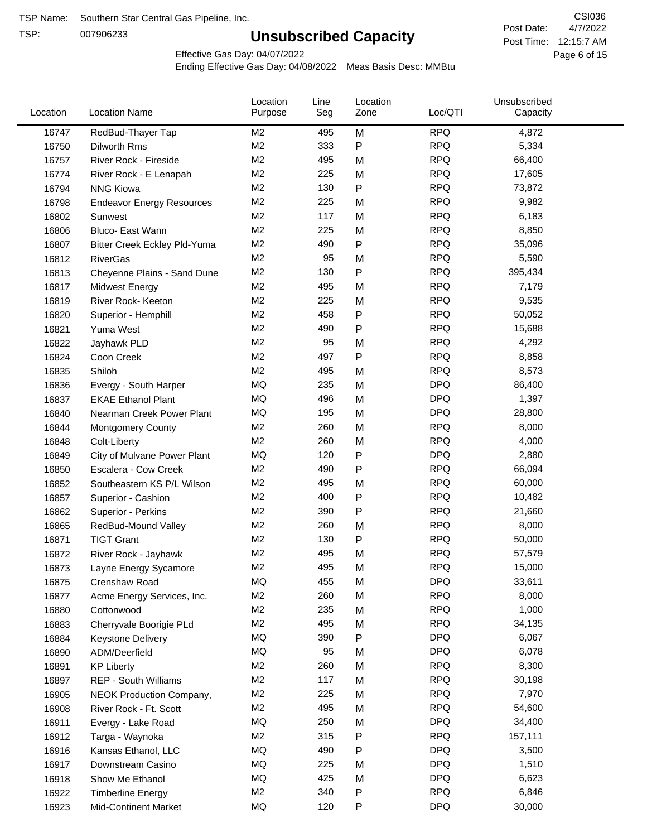TSP:

## **Unsubscribed Capacity**

4/7/2022 Page 6 of 15 Post Time: 12:15:7 AM CSI036 Post Date:

Effective Gas Day: 04/07/2022

| Location | <b>Location Name</b>             | Location<br>Purpose | Line<br>Seg | Location<br>Zone | Loc/QTI    | Unsubscribed<br>Capacity |  |
|----------|----------------------------------|---------------------|-------------|------------------|------------|--------------------------|--|
| 16747    | RedBud-Thayer Tap                | M <sub>2</sub>      | 495         | M                | <b>RPQ</b> | 4,872                    |  |
| 16750    | Dilworth Rms                     | M <sub>2</sub>      | 333         | P                | <b>RPQ</b> | 5,334                    |  |
| 16757    | River Rock - Fireside            | M <sub>2</sub>      | 495         | M                | <b>RPQ</b> | 66,400                   |  |
| 16774    | River Rock - E Lenapah           | M <sub>2</sub>      | 225         | M                | <b>RPQ</b> | 17,605                   |  |
| 16794    | <b>NNG Kiowa</b>                 | M <sub>2</sub>      | 130         | P                | <b>RPQ</b> | 73,872                   |  |
| 16798    | <b>Endeavor Energy Resources</b> | M <sub>2</sub>      | 225         | M                | <b>RPQ</b> | 9,982                    |  |
| 16802    | Sunwest                          | M <sub>2</sub>      | 117         | M                | <b>RPQ</b> | 6,183                    |  |
| 16806    | Bluco- East Wann                 | M <sub>2</sub>      | 225         | M                | <b>RPQ</b> | 8,850                    |  |
| 16807    | Bitter Creek Eckley Pld-Yuma     | M <sub>2</sub>      | 490         | P                | <b>RPQ</b> | 35,096                   |  |
| 16812    | <b>RiverGas</b>                  | M <sub>2</sub>      | 95          | M                | <b>RPQ</b> | 5,590                    |  |
| 16813    | Cheyenne Plains - Sand Dune      | M <sub>2</sub>      | 130         | P                | <b>RPQ</b> | 395,434                  |  |
| 16817    | <b>Midwest Energy</b>            | M <sub>2</sub>      | 495         | M                | <b>RPQ</b> | 7,179                    |  |
| 16819    | River Rock- Keeton               | M <sub>2</sub>      | 225         | M                | <b>RPQ</b> | 9,535                    |  |
| 16820    | Superior - Hemphill              | M <sub>2</sub>      | 458         | Ρ                | <b>RPQ</b> | 50,052                   |  |
| 16821    | Yuma West                        | M <sub>2</sub>      | 490         | P                | <b>RPQ</b> | 15,688                   |  |
| 16822    | Jayhawk PLD                      | M <sub>2</sub>      | 95          | M                | <b>RPQ</b> | 4,292                    |  |
| 16824    | Coon Creek                       | M <sub>2</sub>      | 497         | P                | <b>RPQ</b> | 8,858                    |  |
| 16835    | Shiloh                           | M <sub>2</sub>      | 495         | M                | <b>RPQ</b> | 8,573                    |  |
| 16836    | Evergy - South Harper            | MQ                  | 235         | M                | <b>DPQ</b> | 86,400                   |  |
| 16837    | <b>EKAE Ethanol Plant</b>        | MQ                  | 496         | M                | <b>DPQ</b> | 1,397                    |  |
| 16840    | Nearman Creek Power Plant        | MQ                  | 195         | M                | <b>DPQ</b> | 28,800                   |  |
| 16844    | <b>Montgomery County</b>         | M <sub>2</sub>      | 260         | M                | <b>RPQ</b> | 8,000                    |  |
| 16848    | Colt-Liberty                     | M <sub>2</sub>      | 260         | M                | <b>RPQ</b> | 4,000                    |  |
| 16849    | City of Mulvane Power Plant      | <b>MQ</b>           | 120         | P                | <b>DPQ</b> | 2,880                    |  |
| 16850    | Escalera - Cow Creek             | M <sub>2</sub>      | 490         | P                | <b>RPQ</b> | 66,094                   |  |
| 16852    | Southeastern KS P/L Wilson       | M <sub>2</sub>      | 495         | M                | <b>RPQ</b> | 60,000                   |  |
| 16857    | Superior - Cashion               | M <sub>2</sub>      | 400         | Ρ                | <b>RPQ</b> | 10,482                   |  |
| 16862    | Superior - Perkins               | M <sub>2</sub>      | 390         | Ρ                | <b>RPQ</b> | 21,660                   |  |
| 16865    | RedBud-Mound Valley              | M <sub>2</sub>      | 260         | M                | <b>RPQ</b> | 8,000                    |  |
| 16871    | <b>TIGT Grant</b>                | M <sub>2</sub>      | 130         | P                | <b>RPQ</b> | 50,000                   |  |
| 16872    | River Rock - Jayhawk             | M <sub>2</sub>      | 495         | M                | <b>RPQ</b> | 57,579                   |  |
| 16873    | Layne Energy Sycamore            | M <sub>2</sub>      | 495         | M                | <b>RPQ</b> | 15,000                   |  |
| 16875    | Crenshaw Road                    | MQ                  | 455         | M                | <b>DPQ</b> | 33,611                   |  |
| 16877    | Acme Energy Services, Inc.       | M <sub>2</sub>      | 260         | M                | <b>RPQ</b> | 8,000                    |  |
| 16880    | Cottonwood                       | M <sub>2</sub>      | 235         | M                | <b>RPQ</b> | 1,000                    |  |
| 16883    | Cherryvale Boorigie PLd          | M <sub>2</sub>      | 495         | M                | <b>RPQ</b> | 34,135                   |  |
| 16884    | Keystone Delivery                | MQ                  | 390         | Ρ                | <b>DPQ</b> | 6,067                    |  |
| 16890    | ADM/Deerfield                    | MQ                  | 95          | M                | <b>DPQ</b> | 6,078                    |  |
| 16891    | <b>KP Liberty</b>                | M <sub>2</sub>      | 260         | M                | <b>RPQ</b> | 8,300                    |  |
| 16897    | REP - South Williams             | M <sub>2</sub>      | 117         | M                | <b>RPQ</b> | 30,198                   |  |
| 16905    | NEOK Production Company,         | M <sub>2</sub>      | 225         | M                | <b>RPQ</b> | 7,970                    |  |
| 16908    | River Rock - Ft. Scott           | M <sub>2</sub>      | 495         | M                | <b>RPQ</b> | 54,600                   |  |
| 16911    | Evergy - Lake Road               | MQ                  | 250         | M                | <b>DPQ</b> | 34,400                   |  |
| 16912    | Targa - Waynoka                  | M <sub>2</sub>      | 315         | Ρ                | <b>RPQ</b> | 157,111                  |  |
| 16916    | Kansas Ethanol, LLC              | MQ                  | 490         | Ρ                | <b>DPQ</b> | 3,500                    |  |
| 16917    | Downstream Casino                | MQ                  | 225         | M                | <b>DPQ</b> | 1,510                    |  |
| 16918    | Show Me Ethanol                  | MQ                  | 425         | M                | <b>DPQ</b> | 6,623                    |  |
| 16922    | <b>Timberline Energy</b>         | M <sub>2</sub>      | 340         | Ρ                | <b>RPQ</b> | 6,846                    |  |
| 16923    | <b>Mid-Continent Market</b>      | MQ                  | 120         | P                | <b>DPQ</b> | 30,000                   |  |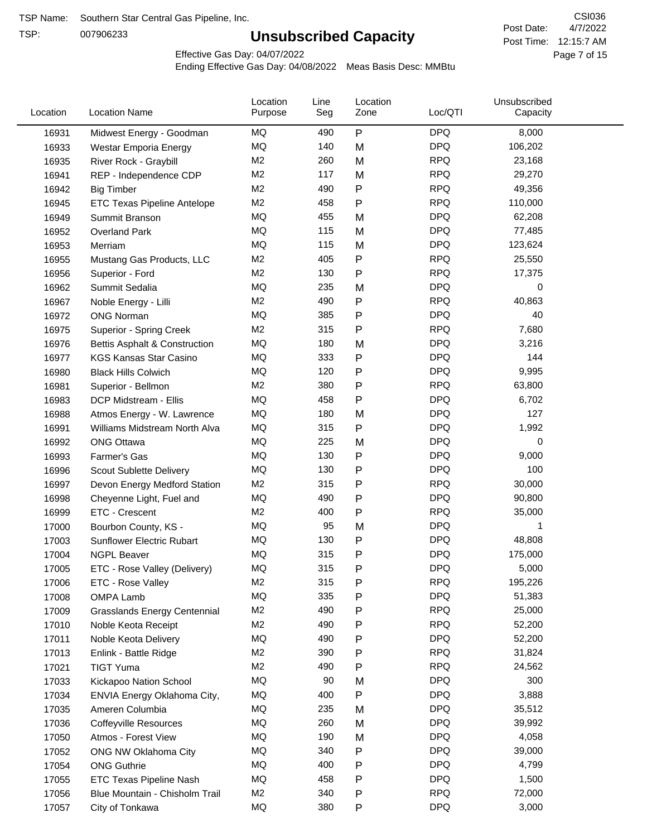TSP:

## **Unsubscribed Capacity**

4/7/2022 Page 7 of 15 Post Time: 12:15:7 AM CSI036 Post Date:

Effective Gas Day: 04/07/2022

| Location | <b>Location Name</b>                     | Location<br>Purpose | Line<br>Seg | Location<br>Zone | Loc/QTI    | Unsubscribed<br>Capacity |  |
|----------|------------------------------------------|---------------------|-------------|------------------|------------|--------------------------|--|
| 16931    | Midwest Energy - Goodman                 | MQ                  | 490         | P                | <b>DPQ</b> | 8,000                    |  |
| 16933    | Westar Emporia Energy                    | MQ                  | 140         | M                | <b>DPQ</b> | 106,202                  |  |
| 16935    | River Rock - Graybill                    | M <sub>2</sub>      | 260         | M                | <b>RPQ</b> | 23,168                   |  |
| 16941    | REP - Independence CDP                   | M <sub>2</sub>      | 117         | M                | <b>RPQ</b> | 29,270                   |  |
| 16942    | <b>Big Timber</b>                        | M <sub>2</sub>      | 490         | Ρ                | <b>RPQ</b> | 49,356                   |  |
| 16945    | <b>ETC Texas Pipeline Antelope</b>       | M <sub>2</sub>      | 458         | P                | <b>RPQ</b> | 110,000                  |  |
| 16949    | Summit Branson                           | MQ                  | 455         | M                | <b>DPQ</b> | 62,208                   |  |
| 16952    | <b>Overland Park</b>                     | MQ                  | 115         | M                | <b>DPQ</b> | 77,485                   |  |
| 16953    | Merriam                                  | MQ                  | 115         | M                | <b>DPQ</b> | 123,624                  |  |
| 16955    | Mustang Gas Products, LLC                | M <sub>2</sub>      | 405         | P                | <b>RPQ</b> | 25,550                   |  |
| 16956    | Superior - Ford                          | M <sub>2</sub>      | 130         | Ρ                | <b>RPQ</b> | 17,375                   |  |
| 16962    | Summit Sedalia                           | <b>MQ</b>           | 235         | M                | <b>DPQ</b> | 0                        |  |
| 16967    | Noble Energy - Lilli                     | M <sub>2</sub>      | 490         | P                | <b>RPQ</b> | 40,863                   |  |
| 16972    | <b>ONG Norman</b>                        | MQ                  | 385         | Ρ                | <b>DPQ</b> | 40                       |  |
| 16975    | Superior - Spring Creek                  | M <sub>2</sub>      | 315         | $\mathsf{P}$     | <b>RPQ</b> | 7,680                    |  |
| 16976    | <b>Bettis Asphalt &amp; Construction</b> | MQ                  | 180         | M                | <b>DPQ</b> | 3,216                    |  |
| 16977    | <b>KGS Kansas Star Casino</b>            | MQ                  | 333         | Ρ                | <b>DPQ</b> | 144                      |  |
| 16980    | <b>Black Hills Colwich</b>               | MQ                  | 120         | Ρ                | <b>DPQ</b> | 9,995                    |  |
| 16981    | Superior - Bellmon                       | M <sub>2</sub>      | 380         | P                | <b>RPQ</b> | 63,800                   |  |
| 16983    | DCP Midstream - Ellis                    | MQ                  | 458         | P                | <b>DPQ</b> | 6,702                    |  |
| 16988    | Atmos Energy - W. Lawrence               | MQ                  | 180         | M                | <b>DPQ</b> | 127                      |  |
| 16991    | Williams Midstream North Alva            | <b>MQ</b>           | 315         | P                | <b>DPQ</b> | 1,992                    |  |
| 16992    | <b>ONG Ottawa</b>                        | <b>MQ</b>           | 225         | M                | <b>DPQ</b> | 0                        |  |
| 16993    | Farmer's Gas                             | MQ                  | 130         | Ρ                | <b>DPQ</b> | 9,000                    |  |
| 16996    | Scout Sublette Delivery                  | MQ                  | 130         | Ρ                | <b>DPQ</b> | 100                      |  |
| 16997    | Devon Energy Medford Station             | M <sub>2</sub>      | 315         | Ρ                | <b>RPQ</b> | 30,000                   |  |
| 16998    | Cheyenne Light, Fuel and                 | MQ                  | 490         | Ρ                | <b>DPQ</b> | 90,800                   |  |
| 16999    | ETC - Crescent                           | M <sub>2</sub>      | 400         | Ρ                | <b>RPQ</b> | 35,000                   |  |
| 17000    | Bourbon County, KS -                     | MQ                  | 95          | M                | <b>DPQ</b> | 1                        |  |
| 17003    | <b>Sunflower Electric Rubart</b>         | MQ                  | 130         | Ρ                | <b>DPQ</b> | 48,808                   |  |
| 17004    | <b>NGPL Beaver</b>                       | MQ                  | 315         | Ρ                | <b>DPQ</b> | 175,000                  |  |
| 17005    | ETC - Rose Valley (Delivery)             | MQ                  | 315         | P                | <b>DPQ</b> | 5,000                    |  |
| 17006    | ETC - Rose Valley                        | M2                  | 315         | P                | <b>RPQ</b> | 195,226                  |  |
| 17008    | OMPA Lamb                                | MQ                  | 335         | P                | <b>DPQ</b> | 51,383                   |  |
| 17009    | <b>Grasslands Energy Centennial</b>      | M <sub>2</sub>      | 490         | Ρ                | <b>RPQ</b> | 25,000                   |  |
| 17010    | Noble Keota Receipt                      | M <sub>2</sub>      | 490         | Ρ                | <b>RPQ</b> | 52,200                   |  |
| 17011    | Noble Keota Delivery                     | MQ                  | 490         | Ρ                | <b>DPQ</b> | 52,200                   |  |
| 17013    | Enlink - Battle Ridge                    | M <sub>2</sub>      | 390         | Ρ                | <b>RPQ</b> | 31,824                   |  |
| 17021    | <b>TIGT Yuma</b>                         | M <sub>2</sub>      | 490         | Ρ                | <b>RPQ</b> | 24,562                   |  |
| 17033    | Kickapoo Nation School                   | MQ                  | 90          | M                | <b>DPQ</b> | 300                      |  |
| 17034    | ENVIA Energy Oklahoma City,              | MQ                  | 400         | P                | <b>DPQ</b> | 3,888                    |  |
| 17035    | Ameren Columbia                          | MQ                  | 235         | M                | <b>DPQ</b> | 35,512                   |  |
| 17036    | <b>Coffeyville Resources</b>             | MQ                  | 260         | M                | <b>DPQ</b> | 39,992                   |  |
| 17050    | Atmos - Forest View                      | MQ                  | 190         | M                | <b>DPQ</b> | 4,058                    |  |
| 17052    | ONG NW Oklahoma City                     | MQ                  | 340         | P                | <b>DPQ</b> | 39,000                   |  |
| 17054    | <b>ONG Guthrie</b>                       | MQ                  | 400         | Ρ                | <b>DPQ</b> | 4,799                    |  |
| 17055    | <b>ETC Texas Pipeline Nash</b>           | MQ                  | 458         | Ρ                | <b>DPQ</b> | 1,500                    |  |
| 17056    | Blue Mountain - Chisholm Trail           | M <sub>2</sub>      | 340         | Ρ                | <b>RPQ</b> | 72,000                   |  |
| 17057    | City of Tonkawa                          | MQ                  | 380         | P                | <b>DPQ</b> | 3,000                    |  |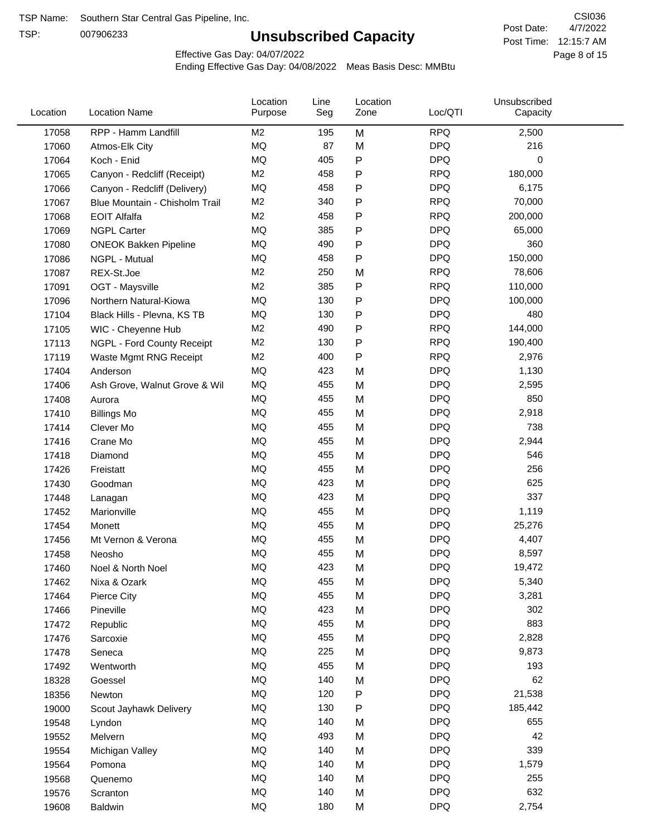TSP:

## **Unsubscribed Capacity**

4/7/2022 Page 8 of 15 Post Time: 12:15:7 AM CSI036 Post Date:

Effective Gas Day: 04/07/2022

| Location | <b>Location Name</b>           | Location<br>Purpose | Line<br>Seg | Location<br>Zone | Loc/QTI    | Unsubscribed<br>Capacity |  |
|----------|--------------------------------|---------------------|-------------|------------------|------------|--------------------------|--|
| 17058    | RPP - Hamm Landfill            | M <sub>2</sub>      | 195         | M                | <b>RPQ</b> | 2,500                    |  |
| 17060    | Atmos-Elk City                 | MQ                  | 87          | M                | <b>DPQ</b> | 216                      |  |
| 17064    | Koch - Enid                    | MQ                  | 405         | P                | <b>DPQ</b> | 0                        |  |
| 17065    | Canyon - Redcliff (Receipt)    | M <sub>2</sub>      | 458         | Ρ                | <b>RPQ</b> | 180,000                  |  |
| 17066    | Canyon - Redcliff (Delivery)   | <b>MQ</b>           | 458         | P                | <b>DPQ</b> | 6,175                    |  |
| 17067    | Blue Mountain - Chisholm Trail | M <sub>2</sub>      | 340         | P                | <b>RPQ</b> | 70,000                   |  |
| 17068    | <b>EOIT Alfalfa</b>            | M <sub>2</sub>      | 458         | P                | <b>RPQ</b> | 200,000                  |  |
| 17069    | <b>NGPL Carter</b>             | <b>MQ</b>           | 385         | Ρ                | <b>DPQ</b> | 65,000                   |  |
| 17080    | <b>ONEOK Bakken Pipeline</b>   | MQ                  | 490         | P                | <b>DPQ</b> | 360                      |  |
| 17086    | NGPL - Mutual                  | <b>MQ</b>           | 458         | Ρ                | <b>DPQ</b> | 150,000                  |  |
| 17087    | REX-St.Joe                     | M <sub>2</sub>      | 250         | M                | <b>RPQ</b> | 78,606                   |  |
| 17091    | OGT - Maysville                | M <sub>2</sub>      | 385         | P                | <b>RPQ</b> | 110,000                  |  |
| 17096    | Northern Natural-Kiowa         | <b>MQ</b>           | 130         | P                | <b>DPQ</b> | 100,000                  |  |
| 17104    | Black Hills - Plevna, KS TB    | <b>MQ</b>           | 130         | P                | <b>DPQ</b> | 480                      |  |
| 17105    | WIC - Cheyenne Hub             | M <sub>2</sub>      | 490         | P                | <b>RPQ</b> | 144,000                  |  |
| 17113    | NGPL - Ford County Receipt     | M <sub>2</sub>      | 130         | P                | <b>RPQ</b> | 190,400                  |  |
| 17119    | Waste Mgmt RNG Receipt         | M <sub>2</sub>      | 400         | P                | <b>RPQ</b> | 2,976                    |  |
| 17404    | Anderson                       | MQ                  | 423         | M                | <b>DPQ</b> | 1,130                    |  |
| 17406    | Ash Grove, Walnut Grove & Wil  | <b>MQ</b>           | 455         | M                | <b>DPQ</b> | 2,595                    |  |
| 17408    | Aurora                         | <b>MQ</b>           | 455         | M                | <b>DPQ</b> | 850                      |  |
| 17410    | <b>Billings Mo</b>             | <b>MQ</b>           | 455         | M                | <b>DPQ</b> | 2,918                    |  |
| 17414    | Clever Mo                      | <b>MQ</b>           | 455         | M                | <b>DPQ</b> | 738                      |  |
| 17416    | Crane Mo                       | <b>MQ</b>           | 455         | M                | <b>DPQ</b> | 2,944                    |  |
| 17418    | Diamond                        | <b>MQ</b>           | 455         | M                | <b>DPQ</b> | 546                      |  |
| 17426    | Freistatt                      | <b>MQ</b>           | 455         | M                | <b>DPQ</b> | 256                      |  |
| 17430    | Goodman                        | <b>MQ</b>           | 423         | M                | <b>DPQ</b> | 625                      |  |
| 17448    | Lanagan                        | <b>MQ</b>           | 423         | M                | <b>DPQ</b> | 337                      |  |
| 17452    | Marionville                    | <b>MQ</b>           | 455         | M                | <b>DPQ</b> | 1,119                    |  |
| 17454    | Monett                         | <b>MQ</b>           | 455         | M                | <b>DPQ</b> | 25,276                   |  |
| 17456    | Mt Vernon & Verona             | MQ                  | 455         | M                | <b>DPQ</b> | 4,407                    |  |
| 17458    | Neosho                         | <b>MQ</b>           | 455         | M                | <b>DPQ</b> | 8,597                    |  |
| 17460    | Noel & North Noel              | MQ                  | 423         | M                | <b>DPQ</b> | 19,472                   |  |
| 17462    | Nixa & Ozark                   | MQ                  | 455         | M                | <b>DPQ</b> | 5,340                    |  |
| 17464    | Pierce City                    | <b>MQ</b>           | 455         | M                | <b>DPQ</b> | 3,281                    |  |
| 17466    | Pineville                      | <b>MQ</b>           | 423         | M                | <b>DPQ</b> | 302                      |  |
| 17472    | Republic                       | <b>MQ</b>           | 455         | M                | <b>DPQ</b> | 883                      |  |
| 17476    | Sarcoxie                       | <b>MQ</b>           | 455         | M                | <b>DPQ</b> | 2,828                    |  |
| 17478    | Seneca                         | <b>MQ</b>           | 225         | M                | <b>DPQ</b> | 9,873                    |  |
| 17492    | Wentworth                      | <b>MQ</b>           | 455         | M                | <b>DPQ</b> | 193                      |  |
| 18328    | Goessel                        | <b>MQ</b>           | 140         | M                | <b>DPQ</b> | 62                       |  |
| 18356    | Newton                         | MQ                  | 120         | Ρ                | <b>DPQ</b> | 21,538                   |  |
| 19000    | Scout Jayhawk Delivery         | MQ                  | 130         | Ρ                | <b>DPQ</b> | 185,442                  |  |
| 19548    | Lyndon                         | MQ                  | 140         | M                | <b>DPQ</b> | 655                      |  |
| 19552    | Melvern                        | MQ                  | 493         | M                | <b>DPQ</b> | 42                       |  |
| 19554    | Michigan Valley                | <b>MQ</b>           | 140         | M                | <b>DPQ</b> | 339                      |  |
| 19564    | Pomona                         | <b>MQ</b>           | 140         | M                | <b>DPQ</b> | 1,579                    |  |
| 19568    | Quenemo                        | <b>MQ</b>           | 140         | M                | <b>DPQ</b> | 255                      |  |
| 19576    | Scranton                       | <b>MQ</b>           | 140         | M                | <b>DPQ</b> | 632                      |  |
| 19608    | Baldwin                        | <b>MQ</b>           | 180         | M                | <b>DPQ</b> | 2,754                    |  |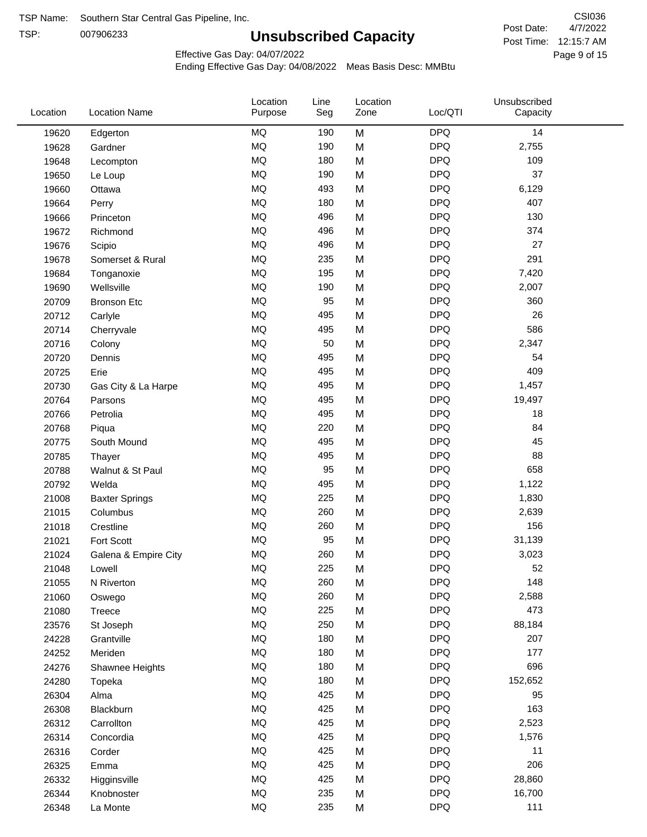TSP:

## **Unsubscribed Capacity**

4/7/2022 Page 9 of 15 Post Time: 12:15:7 AM CSI036 Post Date:

Effective Gas Day: 04/07/2022

| <b>DPQ</b><br><b>MQ</b><br>14<br>190<br>M<br>19620<br>Edgerton<br>MQ<br><b>DPQ</b><br>190<br>2,755<br>M<br>19628<br>Gardner<br><b>MQ</b><br>180<br><b>DPQ</b><br>109<br>M<br>19648<br>Lecompton<br><b>MQ</b><br><b>DPQ</b><br>37<br>190<br>19650<br>M<br>Le Loup<br><b>MQ</b><br><b>DPQ</b><br>493<br>M<br>6,129<br>19660<br>Ottawa<br><b>MQ</b><br><b>DPQ</b><br>407<br>180<br>M<br>19664<br>Perry<br><b>MQ</b><br><b>DPQ</b><br>130<br>496<br>M<br>19666<br>Princeton<br><b>MQ</b><br><b>DPQ</b><br>374<br>496<br>19672<br>M<br>Richmond<br><b>DPQ</b><br><b>MQ</b><br>27<br>19676<br>496<br>M<br>Scipio<br>MQ<br>235<br>M<br><b>DPQ</b><br>291<br>19678<br>Somerset & Rural<br><b>MQ</b><br><b>DPQ</b><br>195<br>M<br>7,420<br>19684<br>Tonganoxie<br><b>MQ</b><br><b>DPQ</b><br>190<br>M<br>2,007<br>19690<br>Wellsville<br><b>MQ</b><br><b>DPQ</b><br>360<br>95<br>20709<br>M<br><b>Bronson Etc</b><br><b>DPQ</b><br><b>MQ</b><br>26<br>495<br>M<br>20712<br>Carlyle<br><b>MQ</b><br><b>DPQ</b><br>586<br>495<br>M<br>20714<br>Cherryvale<br><b>DPQ</b><br><b>MQ</b><br>M<br>50<br>2,347<br>20716<br>Colony<br><b>MQ</b><br><b>DPQ</b><br>495<br>54<br>20720<br>M<br>Dennis<br><b>MQ</b><br><b>DPQ</b><br>409<br>495<br>M<br>20725<br>Erie<br><b>MQ</b><br><b>DPQ</b><br>1,457<br>495<br>M<br>20730<br>Gas City & La Harpe<br><b>MQ</b><br>M<br><b>DPQ</b><br>495<br>19,497<br>20764<br>Parsons<br>MQ<br><b>DPQ</b><br>495<br>18<br>20766<br>Petrolia<br>M<br><b>MQ</b><br><b>DPQ</b><br>84<br>220<br>M<br>20768<br>Piqua<br><b>DPQ</b><br><b>MQ</b><br>495<br>45<br>20775<br>South Mound<br>M<br><b>DPQ</b><br><b>MQ</b><br>88<br>495<br>M<br>20785<br>Thayer<br><b>MQ</b><br>M<br><b>DPQ</b><br>658<br>95<br>20788<br>Walnut & St Paul<br><b>MQ</b><br><b>DPQ</b><br>495<br>M<br>1,122<br>20792<br>Welda<br><b>MQ</b><br><b>DPQ</b><br>225<br>M<br>1,830<br>21008<br><b>Baxter Springs</b><br><b>MQ</b><br><b>DPQ</b><br>260<br>2,639<br>21015<br>M<br>Columbus<br><b>MQ</b><br><b>DPQ</b><br>156<br>260<br>M<br>21018<br>Crestline<br>MQ<br><b>DPQ</b><br>95<br>31,139<br>Fort Scott<br>M<br>21021<br><b>MQ</b><br>260<br><b>DPQ</b><br>M<br>3,023<br>21024<br>Galena & Empire City<br><b>MQ</b><br>225<br><b>DPQ</b><br>52<br>21048<br>M<br>Lowell<br>MQ<br>260<br><b>DPQ</b><br>148<br>M<br>21055<br>N Riverton<br>$\sf{MQ}$<br><b>DPQ</b><br>260<br>2,588<br>M<br>21060<br>Oswego<br><b>MQ</b><br><b>DPQ</b><br>473<br>225<br>M<br>21080<br>Treece<br>MQ<br><b>DPQ</b><br>250<br>88,184<br>23576<br>St Joseph<br>M<br><b>DPQ</b><br>MQ<br>180<br>207<br>24228<br>M<br>Grantville<br><b>DPQ</b><br>MQ<br>177<br>180<br>24252<br>M<br>Meriden<br>$\sf{MQ}$<br><b>DPQ</b><br>696<br>180<br>M<br>24276<br>Shawnee Heights<br>$\sf{MQ}$<br><b>DPQ</b><br>180<br>152,652<br>24280<br>M<br>Topeka<br>MQ<br><b>DPQ</b><br>425<br>95<br>26304<br>Alma<br>M<br>MQ<br><b>DPQ</b><br>163<br>425<br>M<br>26308<br>Blackburn | Location | <b>Location Name</b> | Location<br>Purpose | Line<br>Seg | Location<br>Zone | Loc/QTI    | Unsubscribed<br>Capacity |  |
|---------------------------------------------------------------------------------------------------------------------------------------------------------------------------------------------------------------------------------------------------------------------------------------------------------------------------------------------------------------------------------------------------------------------------------------------------------------------------------------------------------------------------------------------------------------------------------------------------------------------------------------------------------------------------------------------------------------------------------------------------------------------------------------------------------------------------------------------------------------------------------------------------------------------------------------------------------------------------------------------------------------------------------------------------------------------------------------------------------------------------------------------------------------------------------------------------------------------------------------------------------------------------------------------------------------------------------------------------------------------------------------------------------------------------------------------------------------------------------------------------------------------------------------------------------------------------------------------------------------------------------------------------------------------------------------------------------------------------------------------------------------------------------------------------------------------------------------------------------------------------------------------------------------------------------------------------------------------------------------------------------------------------------------------------------------------------------------------------------------------------------------------------------------------------------------------------------------------------------------------------------------------------------------------------------------------------------------------------------------------------------------------------------------------------------------------------------------------------------------------------------------------------------------------------------------------------------------------------------------------------------------------------------------------------------------------------------------------------------------------------------------------------------------------------------------------------------------------------------------------------------------------------------------------------|----------|----------------------|---------------------|-------------|------------------|------------|--------------------------|--|
|                                                                                                                                                                                                                                                                                                                                                                                                                                                                                                                                                                                                                                                                                                                                                                                                                                                                                                                                                                                                                                                                                                                                                                                                                                                                                                                                                                                                                                                                                                                                                                                                                                                                                                                                                                                                                                                                                                                                                                                                                                                                                                                                                                                                                                                                                                                                                                                                                                                                                                                                                                                                                                                                                                                                                                                                                                                                                                                           |          |                      |                     |             |                  |            |                          |  |
|                                                                                                                                                                                                                                                                                                                                                                                                                                                                                                                                                                                                                                                                                                                                                                                                                                                                                                                                                                                                                                                                                                                                                                                                                                                                                                                                                                                                                                                                                                                                                                                                                                                                                                                                                                                                                                                                                                                                                                                                                                                                                                                                                                                                                                                                                                                                                                                                                                                                                                                                                                                                                                                                                                                                                                                                                                                                                                                           |          |                      |                     |             |                  |            |                          |  |
|                                                                                                                                                                                                                                                                                                                                                                                                                                                                                                                                                                                                                                                                                                                                                                                                                                                                                                                                                                                                                                                                                                                                                                                                                                                                                                                                                                                                                                                                                                                                                                                                                                                                                                                                                                                                                                                                                                                                                                                                                                                                                                                                                                                                                                                                                                                                                                                                                                                                                                                                                                                                                                                                                                                                                                                                                                                                                                                           |          |                      |                     |             |                  |            |                          |  |
|                                                                                                                                                                                                                                                                                                                                                                                                                                                                                                                                                                                                                                                                                                                                                                                                                                                                                                                                                                                                                                                                                                                                                                                                                                                                                                                                                                                                                                                                                                                                                                                                                                                                                                                                                                                                                                                                                                                                                                                                                                                                                                                                                                                                                                                                                                                                                                                                                                                                                                                                                                                                                                                                                                                                                                                                                                                                                                                           |          |                      |                     |             |                  |            |                          |  |
|                                                                                                                                                                                                                                                                                                                                                                                                                                                                                                                                                                                                                                                                                                                                                                                                                                                                                                                                                                                                                                                                                                                                                                                                                                                                                                                                                                                                                                                                                                                                                                                                                                                                                                                                                                                                                                                                                                                                                                                                                                                                                                                                                                                                                                                                                                                                                                                                                                                                                                                                                                                                                                                                                                                                                                                                                                                                                                                           |          |                      |                     |             |                  |            |                          |  |
|                                                                                                                                                                                                                                                                                                                                                                                                                                                                                                                                                                                                                                                                                                                                                                                                                                                                                                                                                                                                                                                                                                                                                                                                                                                                                                                                                                                                                                                                                                                                                                                                                                                                                                                                                                                                                                                                                                                                                                                                                                                                                                                                                                                                                                                                                                                                                                                                                                                                                                                                                                                                                                                                                                                                                                                                                                                                                                                           |          |                      |                     |             |                  |            |                          |  |
|                                                                                                                                                                                                                                                                                                                                                                                                                                                                                                                                                                                                                                                                                                                                                                                                                                                                                                                                                                                                                                                                                                                                                                                                                                                                                                                                                                                                                                                                                                                                                                                                                                                                                                                                                                                                                                                                                                                                                                                                                                                                                                                                                                                                                                                                                                                                                                                                                                                                                                                                                                                                                                                                                                                                                                                                                                                                                                                           |          |                      |                     |             |                  |            |                          |  |
|                                                                                                                                                                                                                                                                                                                                                                                                                                                                                                                                                                                                                                                                                                                                                                                                                                                                                                                                                                                                                                                                                                                                                                                                                                                                                                                                                                                                                                                                                                                                                                                                                                                                                                                                                                                                                                                                                                                                                                                                                                                                                                                                                                                                                                                                                                                                                                                                                                                                                                                                                                                                                                                                                                                                                                                                                                                                                                                           |          |                      |                     |             |                  |            |                          |  |
|                                                                                                                                                                                                                                                                                                                                                                                                                                                                                                                                                                                                                                                                                                                                                                                                                                                                                                                                                                                                                                                                                                                                                                                                                                                                                                                                                                                                                                                                                                                                                                                                                                                                                                                                                                                                                                                                                                                                                                                                                                                                                                                                                                                                                                                                                                                                                                                                                                                                                                                                                                                                                                                                                                                                                                                                                                                                                                                           |          |                      |                     |             |                  |            |                          |  |
|                                                                                                                                                                                                                                                                                                                                                                                                                                                                                                                                                                                                                                                                                                                                                                                                                                                                                                                                                                                                                                                                                                                                                                                                                                                                                                                                                                                                                                                                                                                                                                                                                                                                                                                                                                                                                                                                                                                                                                                                                                                                                                                                                                                                                                                                                                                                                                                                                                                                                                                                                                                                                                                                                                                                                                                                                                                                                                                           |          |                      |                     |             |                  |            |                          |  |
|                                                                                                                                                                                                                                                                                                                                                                                                                                                                                                                                                                                                                                                                                                                                                                                                                                                                                                                                                                                                                                                                                                                                                                                                                                                                                                                                                                                                                                                                                                                                                                                                                                                                                                                                                                                                                                                                                                                                                                                                                                                                                                                                                                                                                                                                                                                                                                                                                                                                                                                                                                                                                                                                                                                                                                                                                                                                                                                           |          |                      |                     |             |                  |            |                          |  |
|                                                                                                                                                                                                                                                                                                                                                                                                                                                                                                                                                                                                                                                                                                                                                                                                                                                                                                                                                                                                                                                                                                                                                                                                                                                                                                                                                                                                                                                                                                                                                                                                                                                                                                                                                                                                                                                                                                                                                                                                                                                                                                                                                                                                                                                                                                                                                                                                                                                                                                                                                                                                                                                                                                                                                                                                                                                                                                                           |          |                      |                     |             |                  |            |                          |  |
|                                                                                                                                                                                                                                                                                                                                                                                                                                                                                                                                                                                                                                                                                                                                                                                                                                                                                                                                                                                                                                                                                                                                                                                                                                                                                                                                                                                                                                                                                                                                                                                                                                                                                                                                                                                                                                                                                                                                                                                                                                                                                                                                                                                                                                                                                                                                                                                                                                                                                                                                                                                                                                                                                                                                                                                                                                                                                                                           |          |                      |                     |             |                  |            |                          |  |
|                                                                                                                                                                                                                                                                                                                                                                                                                                                                                                                                                                                                                                                                                                                                                                                                                                                                                                                                                                                                                                                                                                                                                                                                                                                                                                                                                                                                                                                                                                                                                                                                                                                                                                                                                                                                                                                                                                                                                                                                                                                                                                                                                                                                                                                                                                                                                                                                                                                                                                                                                                                                                                                                                                                                                                                                                                                                                                                           |          |                      |                     |             |                  |            |                          |  |
|                                                                                                                                                                                                                                                                                                                                                                                                                                                                                                                                                                                                                                                                                                                                                                                                                                                                                                                                                                                                                                                                                                                                                                                                                                                                                                                                                                                                                                                                                                                                                                                                                                                                                                                                                                                                                                                                                                                                                                                                                                                                                                                                                                                                                                                                                                                                                                                                                                                                                                                                                                                                                                                                                                                                                                                                                                                                                                                           |          |                      |                     |             |                  |            |                          |  |
|                                                                                                                                                                                                                                                                                                                                                                                                                                                                                                                                                                                                                                                                                                                                                                                                                                                                                                                                                                                                                                                                                                                                                                                                                                                                                                                                                                                                                                                                                                                                                                                                                                                                                                                                                                                                                                                                                                                                                                                                                                                                                                                                                                                                                                                                                                                                                                                                                                                                                                                                                                                                                                                                                                                                                                                                                                                                                                                           |          |                      |                     |             |                  |            |                          |  |
|                                                                                                                                                                                                                                                                                                                                                                                                                                                                                                                                                                                                                                                                                                                                                                                                                                                                                                                                                                                                                                                                                                                                                                                                                                                                                                                                                                                                                                                                                                                                                                                                                                                                                                                                                                                                                                                                                                                                                                                                                                                                                                                                                                                                                                                                                                                                                                                                                                                                                                                                                                                                                                                                                                                                                                                                                                                                                                                           |          |                      |                     |             |                  |            |                          |  |
|                                                                                                                                                                                                                                                                                                                                                                                                                                                                                                                                                                                                                                                                                                                                                                                                                                                                                                                                                                                                                                                                                                                                                                                                                                                                                                                                                                                                                                                                                                                                                                                                                                                                                                                                                                                                                                                                                                                                                                                                                                                                                                                                                                                                                                                                                                                                                                                                                                                                                                                                                                                                                                                                                                                                                                                                                                                                                                                           |          |                      |                     |             |                  |            |                          |  |
|                                                                                                                                                                                                                                                                                                                                                                                                                                                                                                                                                                                                                                                                                                                                                                                                                                                                                                                                                                                                                                                                                                                                                                                                                                                                                                                                                                                                                                                                                                                                                                                                                                                                                                                                                                                                                                                                                                                                                                                                                                                                                                                                                                                                                                                                                                                                                                                                                                                                                                                                                                                                                                                                                                                                                                                                                                                                                                                           |          |                      |                     |             |                  |            |                          |  |
|                                                                                                                                                                                                                                                                                                                                                                                                                                                                                                                                                                                                                                                                                                                                                                                                                                                                                                                                                                                                                                                                                                                                                                                                                                                                                                                                                                                                                                                                                                                                                                                                                                                                                                                                                                                                                                                                                                                                                                                                                                                                                                                                                                                                                                                                                                                                                                                                                                                                                                                                                                                                                                                                                                                                                                                                                                                                                                                           |          |                      |                     |             |                  |            |                          |  |
|                                                                                                                                                                                                                                                                                                                                                                                                                                                                                                                                                                                                                                                                                                                                                                                                                                                                                                                                                                                                                                                                                                                                                                                                                                                                                                                                                                                                                                                                                                                                                                                                                                                                                                                                                                                                                                                                                                                                                                                                                                                                                                                                                                                                                                                                                                                                                                                                                                                                                                                                                                                                                                                                                                                                                                                                                                                                                                                           |          |                      |                     |             |                  |            |                          |  |
|                                                                                                                                                                                                                                                                                                                                                                                                                                                                                                                                                                                                                                                                                                                                                                                                                                                                                                                                                                                                                                                                                                                                                                                                                                                                                                                                                                                                                                                                                                                                                                                                                                                                                                                                                                                                                                                                                                                                                                                                                                                                                                                                                                                                                                                                                                                                                                                                                                                                                                                                                                                                                                                                                                                                                                                                                                                                                                                           |          |                      |                     |             |                  |            |                          |  |
|                                                                                                                                                                                                                                                                                                                                                                                                                                                                                                                                                                                                                                                                                                                                                                                                                                                                                                                                                                                                                                                                                                                                                                                                                                                                                                                                                                                                                                                                                                                                                                                                                                                                                                                                                                                                                                                                                                                                                                                                                                                                                                                                                                                                                                                                                                                                                                                                                                                                                                                                                                                                                                                                                                                                                                                                                                                                                                                           |          |                      |                     |             |                  |            |                          |  |
|                                                                                                                                                                                                                                                                                                                                                                                                                                                                                                                                                                                                                                                                                                                                                                                                                                                                                                                                                                                                                                                                                                                                                                                                                                                                                                                                                                                                                                                                                                                                                                                                                                                                                                                                                                                                                                                                                                                                                                                                                                                                                                                                                                                                                                                                                                                                                                                                                                                                                                                                                                                                                                                                                                                                                                                                                                                                                                                           |          |                      |                     |             |                  |            |                          |  |
|                                                                                                                                                                                                                                                                                                                                                                                                                                                                                                                                                                                                                                                                                                                                                                                                                                                                                                                                                                                                                                                                                                                                                                                                                                                                                                                                                                                                                                                                                                                                                                                                                                                                                                                                                                                                                                                                                                                                                                                                                                                                                                                                                                                                                                                                                                                                                                                                                                                                                                                                                                                                                                                                                                                                                                                                                                                                                                                           |          |                      |                     |             |                  |            |                          |  |
|                                                                                                                                                                                                                                                                                                                                                                                                                                                                                                                                                                                                                                                                                                                                                                                                                                                                                                                                                                                                                                                                                                                                                                                                                                                                                                                                                                                                                                                                                                                                                                                                                                                                                                                                                                                                                                                                                                                                                                                                                                                                                                                                                                                                                                                                                                                                                                                                                                                                                                                                                                                                                                                                                                                                                                                                                                                                                                                           |          |                      |                     |             |                  |            |                          |  |
|                                                                                                                                                                                                                                                                                                                                                                                                                                                                                                                                                                                                                                                                                                                                                                                                                                                                                                                                                                                                                                                                                                                                                                                                                                                                                                                                                                                                                                                                                                                                                                                                                                                                                                                                                                                                                                                                                                                                                                                                                                                                                                                                                                                                                                                                                                                                                                                                                                                                                                                                                                                                                                                                                                                                                                                                                                                                                                                           |          |                      |                     |             |                  |            |                          |  |
|                                                                                                                                                                                                                                                                                                                                                                                                                                                                                                                                                                                                                                                                                                                                                                                                                                                                                                                                                                                                                                                                                                                                                                                                                                                                                                                                                                                                                                                                                                                                                                                                                                                                                                                                                                                                                                                                                                                                                                                                                                                                                                                                                                                                                                                                                                                                                                                                                                                                                                                                                                                                                                                                                                                                                                                                                                                                                                                           |          |                      |                     |             |                  |            |                          |  |
|                                                                                                                                                                                                                                                                                                                                                                                                                                                                                                                                                                                                                                                                                                                                                                                                                                                                                                                                                                                                                                                                                                                                                                                                                                                                                                                                                                                                                                                                                                                                                                                                                                                                                                                                                                                                                                                                                                                                                                                                                                                                                                                                                                                                                                                                                                                                                                                                                                                                                                                                                                                                                                                                                                                                                                                                                                                                                                                           |          |                      |                     |             |                  |            |                          |  |
|                                                                                                                                                                                                                                                                                                                                                                                                                                                                                                                                                                                                                                                                                                                                                                                                                                                                                                                                                                                                                                                                                                                                                                                                                                                                                                                                                                                                                                                                                                                                                                                                                                                                                                                                                                                                                                                                                                                                                                                                                                                                                                                                                                                                                                                                                                                                                                                                                                                                                                                                                                                                                                                                                                                                                                                                                                                                                                                           |          |                      |                     |             |                  |            |                          |  |
|                                                                                                                                                                                                                                                                                                                                                                                                                                                                                                                                                                                                                                                                                                                                                                                                                                                                                                                                                                                                                                                                                                                                                                                                                                                                                                                                                                                                                                                                                                                                                                                                                                                                                                                                                                                                                                                                                                                                                                                                                                                                                                                                                                                                                                                                                                                                                                                                                                                                                                                                                                                                                                                                                                                                                                                                                                                                                                                           |          |                      |                     |             |                  |            |                          |  |
|                                                                                                                                                                                                                                                                                                                                                                                                                                                                                                                                                                                                                                                                                                                                                                                                                                                                                                                                                                                                                                                                                                                                                                                                                                                                                                                                                                                                                                                                                                                                                                                                                                                                                                                                                                                                                                                                                                                                                                                                                                                                                                                                                                                                                                                                                                                                                                                                                                                                                                                                                                                                                                                                                                                                                                                                                                                                                                                           |          |                      |                     |             |                  |            |                          |  |
|                                                                                                                                                                                                                                                                                                                                                                                                                                                                                                                                                                                                                                                                                                                                                                                                                                                                                                                                                                                                                                                                                                                                                                                                                                                                                                                                                                                                                                                                                                                                                                                                                                                                                                                                                                                                                                                                                                                                                                                                                                                                                                                                                                                                                                                                                                                                                                                                                                                                                                                                                                                                                                                                                                                                                                                                                                                                                                                           |          |                      |                     |             |                  |            |                          |  |
|                                                                                                                                                                                                                                                                                                                                                                                                                                                                                                                                                                                                                                                                                                                                                                                                                                                                                                                                                                                                                                                                                                                                                                                                                                                                                                                                                                                                                                                                                                                                                                                                                                                                                                                                                                                                                                                                                                                                                                                                                                                                                                                                                                                                                                                                                                                                                                                                                                                                                                                                                                                                                                                                                                                                                                                                                                                                                                                           |          |                      |                     |             |                  |            |                          |  |
|                                                                                                                                                                                                                                                                                                                                                                                                                                                                                                                                                                                                                                                                                                                                                                                                                                                                                                                                                                                                                                                                                                                                                                                                                                                                                                                                                                                                                                                                                                                                                                                                                                                                                                                                                                                                                                                                                                                                                                                                                                                                                                                                                                                                                                                                                                                                                                                                                                                                                                                                                                                                                                                                                                                                                                                                                                                                                                                           |          |                      |                     |             |                  |            |                          |  |
|                                                                                                                                                                                                                                                                                                                                                                                                                                                                                                                                                                                                                                                                                                                                                                                                                                                                                                                                                                                                                                                                                                                                                                                                                                                                                                                                                                                                                                                                                                                                                                                                                                                                                                                                                                                                                                                                                                                                                                                                                                                                                                                                                                                                                                                                                                                                                                                                                                                                                                                                                                                                                                                                                                                                                                                                                                                                                                                           |          |                      |                     |             |                  |            |                          |  |
|                                                                                                                                                                                                                                                                                                                                                                                                                                                                                                                                                                                                                                                                                                                                                                                                                                                                                                                                                                                                                                                                                                                                                                                                                                                                                                                                                                                                                                                                                                                                                                                                                                                                                                                                                                                                                                                                                                                                                                                                                                                                                                                                                                                                                                                                                                                                                                                                                                                                                                                                                                                                                                                                                                                                                                                                                                                                                                                           |          |                      |                     |             |                  |            |                          |  |
|                                                                                                                                                                                                                                                                                                                                                                                                                                                                                                                                                                                                                                                                                                                                                                                                                                                                                                                                                                                                                                                                                                                                                                                                                                                                                                                                                                                                                                                                                                                                                                                                                                                                                                                                                                                                                                                                                                                                                                                                                                                                                                                                                                                                                                                                                                                                                                                                                                                                                                                                                                                                                                                                                                                                                                                                                                                                                                                           |          |                      |                     |             |                  |            |                          |  |
|                                                                                                                                                                                                                                                                                                                                                                                                                                                                                                                                                                                                                                                                                                                                                                                                                                                                                                                                                                                                                                                                                                                                                                                                                                                                                                                                                                                                                                                                                                                                                                                                                                                                                                                                                                                                                                                                                                                                                                                                                                                                                                                                                                                                                                                                                                                                                                                                                                                                                                                                                                                                                                                                                                                                                                                                                                                                                                                           |          |                      |                     |             |                  |            |                          |  |
|                                                                                                                                                                                                                                                                                                                                                                                                                                                                                                                                                                                                                                                                                                                                                                                                                                                                                                                                                                                                                                                                                                                                                                                                                                                                                                                                                                                                                                                                                                                                                                                                                                                                                                                                                                                                                                                                                                                                                                                                                                                                                                                                                                                                                                                                                                                                                                                                                                                                                                                                                                                                                                                                                                                                                                                                                                                                                                                           |          |                      |                     |             |                  |            |                          |  |
|                                                                                                                                                                                                                                                                                                                                                                                                                                                                                                                                                                                                                                                                                                                                                                                                                                                                                                                                                                                                                                                                                                                                                                                                                                                                                                                                                                                                                                                                                                                                                                                                                                                                                                                                                                                                                                                                                                                                                                                                                                                                                                                                                                                                                                                                                                                                                                                                                                                                                                                                                                                                                                                                                                                                                                                                                                                                                                                           |          |                      |                     |             |                  |            |                          |  |
|                                                                                                                                                                                                                                                                                                                                                                                                                                                                                                                                                                                                                                                                                                                                                                                                                                                                                                                                                                                                                                                                                                                                                                                                                                                                                                                                                                                                                                                                                                                                                                                                                                                                                                                                                                                                                                                                                                                                                                                                                                                                                                                                                                                                                                                                                                                                                                                                                                                                                                                                                                                                                                                                                                                                                                                                                                                                                                                           |          |                      |                     |             |                  |            |                          |  |
|                                                                                                                                                                                                                                                                                                                                                                                                                                                                                                                                                                                                                                                                                                                                                                                                                                                                                                                                                                                                                                                                                                                                                                                                                                                                                                                                                                                                                                                                                                                                                                                                                                                                                                                                                                                                                                                                                                                                                                                                                                                                                                                                                                                                                                                                                                                                                                                                                                                                                                                                                                                                                                                                                                                                                                                                                                                                                                                           | 26312    | Carrollton           | MQ                  | 425         | M                | <b>DPQ</b> | 2,523                    |  |
| <b>MQ</b><br><b>DPQ</b><br>425<br>M<br>1,576<br>26314<br>Concordia                                                                                                                                                                                                                                                                                                                                                                                                                                                                                                                                                                                                                                                                                                                                                                                                                                                                                                                                                                                                                                                                                                                                                                                                                                                                                                                                                                                                                                                                                                                                                                                                                                                                                                                                                                                                                                                                                                                                                                                                                                                                                                                                                                                                                                                                                                                                                                                                                                                                                                                                                                                                                                                                                                                                                                                                                                                        |          |                      |                     |             |                  |            |                          |  |
| MQ<br><b>DPQ</b><br>425<br>11<br>26316<br>Corder<br>M                                                                                                                                                                                                                                                                                                                                                                                                                                                                                                                                                                                                                                                                                                                                                                                                                                                                                                                                                                                                                                                                                                                                                                                                                                                                                                                                                                                                                                                                                                                                                                                                                                                                                                                                                                                                                                                                                                                                                                                                                                                                                                                                                                                                                                                                                                                                                                                                                                                                                                                                                                                                                                                                                                                                                                                                                                                                     |          |                      |                     |             |                  |            |                          |  |
| MQ<br><b>DPQ</b><br>206<br>425<br>26325<br>M<br>Emma                                                                                                                                                                                                                                                                                                                                                                                                                                                                                                                                                                                                                                                                                                                                                                                                                                                                                                                                                                                                                                                                                                                                                                                                                                                                                                                                                                                                                                                                                                                                                                                                                                                                                                                                                                                                                                                                                                                                                                                                                                                                                                                                                                                                                                                                                                                                                                                                                                                                                                                                                                                                                                                                                                                                                                                                                                                                      |          |                      |                     |             |                  |            |                          |  |
| MQ<br><b>DPQ</b><br>425<br>28,860<br>26332<br>M<br>Higginsville                                                                                                                                                                                                                                                                                                                                                                                                                                                                                                                                                                                                                                                                                                                                                                                                                                                                                                                                                                                                                                                                                                                                                                                                                                                                                                                                                                                                                                                                                                                                                                                                                                                                                                                                                                                                                                                                                                                                                                                                                                                                                                                                                                                                                                                                                                                                                                                                                                                                                                                                                                                                                                                                                                                                                                                                                                                           |          |                      |                     |             |                  |            |                          |  |
| $\sf{MQ}$<br><b>DPQ</b><br>235<br>M<br>16,700<br>26344<br>Knobnoster                                                                                                                                                                                                                                                                                                                                                                                                                                                                                                                                                                                                                                                                                                                                                                                                                                                                                                                                                                                                                                                                                                                                                                                                                                                                                                                                                                                                                                                                                                                                                                                                                                                                                                                                                                                                                                                                                                                                                                                                                                                                                                                                                                                                                                                                                                                                                                                                                                                                                                                                                                                                                                                                                                                                                                                                                                                      |          |                      |                     |             |                  |            |                          |  |
| $\sf{MQ}$<br><b>DPQ</b><br>111<br>235<br>26348<br>M<br>La Monte                                                                                                                                                                                                                                                                                                                                                                                                                                                                                                                                                                                                                                                                                                                                                                                                                                                                                                                                                                                                                                                                                                                                                                                                                                                                                                                                                                                                                                                                                                                                                                                                                                                                                                                                                                                                                                                                                                                                                                                                                                                                                                                                                                                                                                                                                                                                                                                                                                                                                                                                                                                                                                                                                                                                                                                                                                                           |          |                      |                     |             |                  |            |                          |  |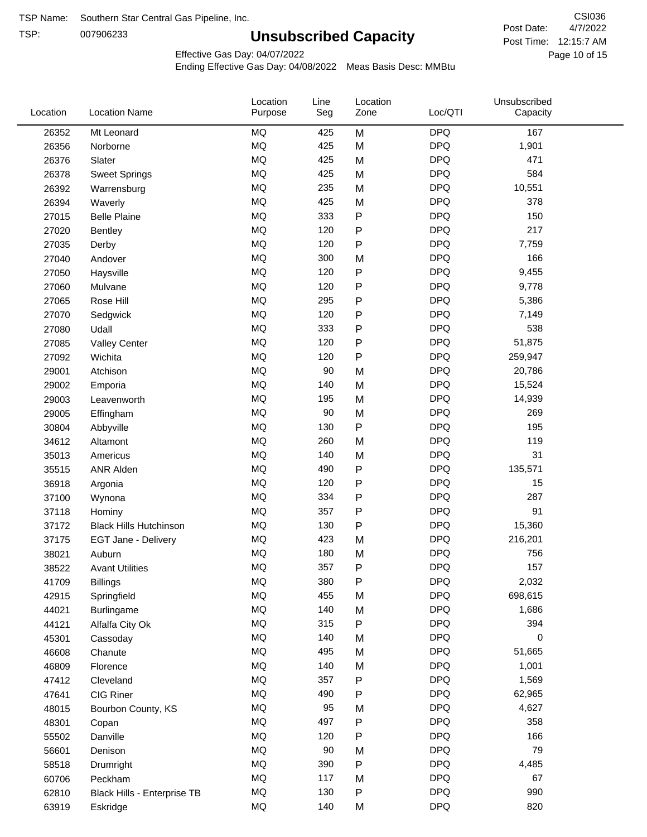TSP:

## **Unsubscribed Capacity**

4/7/2022 Page 10 of 15 Post Time: 12:15:7 AM CSI036 Post Date:

Effective Gas Day: 04/07/2022

| Location | <b>Location Name</b>          | Location<br>Purpose | Line<br>Seg | Location<br>Zone | Loc/QTI    | Unsubscribed<br>Capacity |  |
|----------|-------------------------------|---------------------|-------------|------------------|------------|--------------------------|--|
| 26352    | Mt Leonard                    | MQ                  | 425         | M                | <b>DPQ</b> | 167                      |  |
| 26356    | Norborne                      | MQ                  | 425         | M                | <b>DPQ</b> | 1,901                    |  |
| 26376    | Slater                        | MQ                  | 425         | M                | <b>DPQ</b> | 471                      |  |
| 26378    | <b>Sweet Springs</b>          | MQ                  | 425         | M                | <b>DPQ</b> | 584                      |  |
| 26392    | Warrensburg                   | MQ                  | 235         | M                | <b>DPQ</b> | 10,551                   |  |
| 26394    | Waverly                       | <b>MQ</b>           | 425         | M                | <b>DPQ</b> | 378                      |  |
| 27015    | <b>Belle Plaine</b>           | MQ                  | 333         | ${\sf P}$        | <b>DPQ</b> | 150                      |  |
| 27020    | <b>Bentley</b>                | MQ                  | 120         | ${\sf P}$        | <b>DPQ</b> | 217                      |  |
| 27035    | Derby                         | MQ                  | 120         | $\mathsf{P}$     | <b>DPQ</b> | 7,759                    |  |
| 27040    | Andover                       | MQ                  | 300         | M                | <b>DPQ</b> | 166                      |  |
| 27050    | Haysville                     | MQ                  | 120         | ${\sf P}$        | <b>DPQ</b> | 9,455                    |  |
| 27060    | Mulvane                       | MQ                  | 120         | P                | <b>DPQ</b> | 9,778                    |  |
| 27065    | Rose Hill                     | MQ                  | 295         | P                | <b>DPQ</b> | 5,386                    |  |
| 27070    | Sedgwick                      | MQ                  | 120         | P                | <b>DPQ</b> | 7,149                    |  |
| 27080    | Udall                         | MQ                  | 333         | ${\sf P}$        | <b>DPQ</b> | 538                      |  |
| 27085    | <b>Valley Center</b>          | MQ                  | 120         | P                | <b>DPQ</b> | 51,875                   |  |
| 27092    | Wichita                       | MQ                  | 120         | ${\sf P}$        | <b>DPQ</b> | 259,947                  |  |
| 29001    | Atchison                      | MQ                  | 90          | M                | <b>DPQ</b> | 20,786                   |  |
| 29002    | Emporia                       | MQ                  | 140         | M                | <b>DPQ</b> | 15,524                   |  |
| 29003    | Leavenworth                   | MQ                  | 195         | M                | <b>DPQ</b> | 14,939                   |  |
| 29005    | Effingham                     | MQ                  | 90          | M                | <b>DPQ</b> | 269                      |  |
| 30804    | Abbyville                     | MQ                  | 130         | ${\sf P}$        | <b>DPQ</b> | 195                      |  |
| 34612    | Altamont                      | MQ                  | 260         | M                | <b>DPQ</b> | 119                      |  |
| 35013    | Americus                      | MQ                  | 140         | M                | <b>DPQ</b> | 31                       |  |
| 35515    | ANR Alden                     | MQ                  | 490         | ${\sf P}$        | <b>DPQ</b> | 135,571                  |  |
| 36918    | Argonia                       | MQ                  | 120         | ${\sf P}$        | <b>DPQ</b> | 15                       |  |
| 37100    | Wynona                        | MQ                  | 334         | P                | <b>DPQ</b> | 287                      |  |
| 37118    | Hominy                        | MQ                  | 357         | P                | <b>DPQ</b> | 91                       |  |
| 37172    | <b>Black Hills Hutchinson</b> | MQ                  | 130         | ${\sf P}$        | <b>DPQ</b> | 15,360                   |  |
| 37175    | EGT Jane - Delivery           | MQ                  | 423         | M                | <b>DPQ</b> | 216,201                  |  |
| 38021    | Auburn                        | MQ                  | 180         | M                | <b>DPQ</b> | 756                      |  |
| 38522    | <b>Avant Utilities</b>        | MQ                  | 357         | P                | <b>DPQ</b> | 157                      |  |
| 41709    | <b>Billings</b>               | MQ                  | 380         | P                | <b>DPQ</b> | 2,032                    |  |
| 42915    | Springfield                   | $\sf{MQ}$           | 455         | M                | <b>DPQ</b> | 698,615                  |  |
| 44021    | Burlingame                    | $\sf{MQ}$           | 140         | M                | <b>DPQ</b> | 1,686                    |  |
| 44121    | Alfalfa City Ok               | $\sf{MQ}$           | 315         | P                | <b>DPQ</b> | 394                      |  |
| 45301    | Cassoday                      | MQ                  | 140         | M                | <b>DPQ</b> | 0                        |  |
| 46608    | Chanute                       | MQ                  | 495         | M                | <b>DPQ</b> | 51,665                   |  |
| 46809    | Florence                      | MQ                  | 140         | M                | <b>DPQ</b> | 1,001                    |  |
| 47412    | Cleveland                     | MQ                  | 357         | P                | <b>DPQ</b> | 1,569                    |  |
| 47641    | CIG Riner                     | MQ                  | 490         | P                | <b>DPQ</b> | 62,965                   |  |
| 48015    | Bourbon County, KS            | MQ                  | 95          | M                | <b>DPQ</b> | 4,627                    |  |
| 48301    | Copan                         | MQ                  | 497         | ${\sf P}$        | <b>DPQ</b> | 358                      |  |
| 55502    | Danville                      | MQ                  | 120         | ${\sf P}$        | <b>DPQ</b> | 166                      |  |
| 56601    | Denison                       | MQ                  | 90          | M                | <b>DPQ</b> | 79                       |  |
| 58518    | Drumright                     | MQ                  | 390         | P                | <b>DPQ</b> | 4,485                    |  |
| 60706    | Peckham                       | MQ                  | 117         | M                | <b>DPQ</b> | 67                       |  |
| 62810    | Black Hills - Enterprise TB   | MQ                  | 130         | ${\sf P}$        | <b>DPQ</b> | 990                      |  |
| 63919    | Eskridge                      | $\sf{MQ}$           | 140         | M                | <b>DPQ</b> | 820                      |  |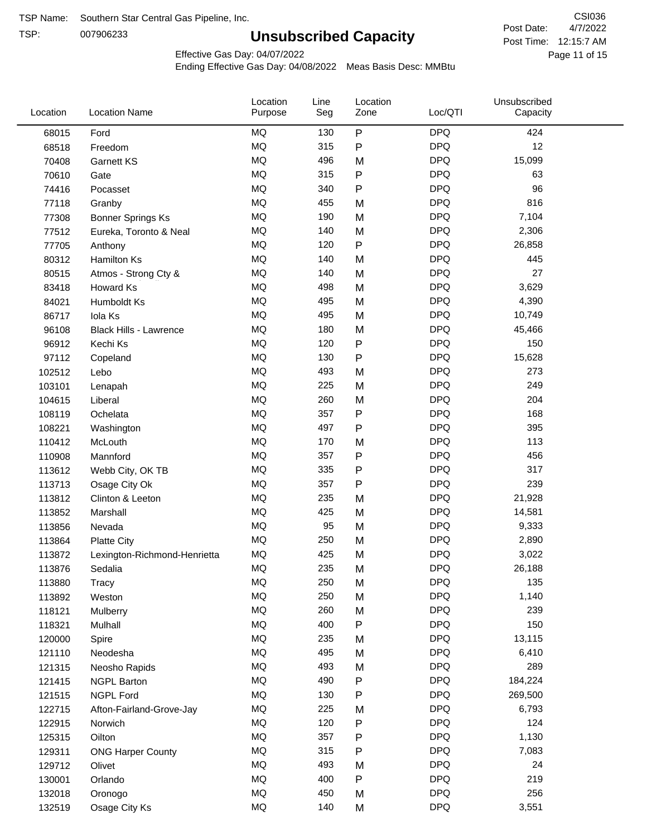TSP:

## **Unsubscribed Capacity**

4/7/2022 Page 11 of 15 Post Time: 12:15:7 AM CSI036 Post Date:

Effective Gas Day: 04/07/2022

| Location | <b>Location Name</b>          | Location<br>Purpose | Line<br>Seg | Location<br>Zone | Loc/QTI    | Unsubscribed<br>Capacity |  |
|----------|-------------------------------|---------------------|-------------|------------------|------------|--------------------------|--|
| 68015    | Ford                          | <b>MQ</b>           | 130         | ${\sf P}$        | <b>DPQ</b> | 424                      |  |
| 68518    | Freedom                       | MQ                  | 315         | P                | <b>DPQ</b> | 12                       |  |
| 70408    | <b>Garnett KS</b>             | <b>MQ</b>           | 496         | M                | <b>DPQ</b> | 15,099                   |  |
| 70610    | Gate                          | <b>MQ</b>           | 315         | P                | <b>DPQ</b> | 63                       |  |
| 74416    | Pocasset                      | <b>MQ</b>           | 340         | P                | <b>DPQ</b> | 96                       |  |
| 77118    | Granby                        | <b>MQ</b>           | 455         | M                | <b>DPQ</b> | 816                      |  |
| 77308    | <b>Bonner Springs Ks</b>      | <b>MQ</b>           | 190         | M                | <b>DPQ</b> | 7,104                    |  |
| 77512    | Eureka, Toronto & Neal        | MQ                  | 140         | M                | <b>DPQ</b> | 2,306                    |  |
| 77705    | Anthony                       | <b>MQ</b>           | 120         | P                | <b>DPQ</b> | 26,858                   |  |
| 80312    | Hamilton Ks                   | MQ                  | 140         | M                | <b>DPQ</b> | 445                      |  |
| 80515    | Atmos - Strong Cty &          | <b>MQ</b>           | 140         | M                | <b>DPQ</b> | 27                       |  |
| 83418    | Howard Ks                     | <b>MQ</b>           | 498         | M                | <b>DPQ</b> | 3,629                    |  |
| 84021    | Humboldt Ks                   | <b>MQ</b>           | 495         | M                | <b>DPQ</b> | 4,390                    |  |
| 86717    | Iola Ks                       | <b>MQ</b>           | 495         | M                | <b>DPQ</b> | 10,749                   |  |
| 96108    | <b>Black Hills - Lawrence</b> | <b>MQ</b>           | 180         | M                | <b>DPQ</b> | 45,466                   |  |
| 96912    | Kechi Ks                      | <b>MQ</b>           | 120         | P                | <b>DPQ</b> | 150                      |  |
| 97112    | Copeland                      | <b>MQ</b>           | 130         | P                | <b>DPQ</b> | 15,628                   |  |
| 102512   | Lebo                          | <b>MQ</b>           | 493         | M                | <b>DPQ</b> | 273                      |  |
| 103101   | Lenapah                       | <b>MQ</b>           | 225         | M                | <b>DPQ</b> | 249                      |  |
| 104615   | Liberal                       | <b>MQ</b>           | 260         | M                | <b>DPQ</b> | 204                      |  |
| 108119   | Ochelata                      | <b>MQ</b>           | 357         | P                | <b>DPQ</b> | 168                      |  |
| 108221   | Washington                    | <b>MQ</b>           | 497         | P                | <b>DPQ</b> | 395                      |  |
| 110412   | McLouth                       | <b>MQ</b>           | 170         | M                | <b>DPQ</b> | 113                      |  |
| 110908   | Mannford                      | <b>MQ</b>           | 357         | P                | <b>DPQ</b> | 456                      |  |
| 113612   | Webb City, OK TB              | <b>MQ</b>           | 335         | Ρ                | <b>DPQ</b> | 317                      |  |
| 113713   | Osage City Ok                 | <b>MQ</b>           | 357         | $\mathsf{P}$     | <b>DPQ</b> | 239                      |  |
| 113812   | Clinton & Leeton              | <b>MQ</b>           | 235         | M                | <b>DPQ</b> | 21,928                   |  |
| 113852   | Marshall                      | <b>MQ</b>           | 425         | M                | <b>DPQ</b> | 14,581                   |  |
| 113856   | Nevada                        | <b>MQ</b>           | 95          | M                | <b>DPQ</b> | 9,333                    |  |
| 113864   | <b>Platte City</b>            | <b>MQ</b>           | 250         | M                | <b>DPQ</b> | 2,890                    |  |
| 113872   | Lexington-Richmond-Henrietta  | <b>MQ</b>           | 425         | M                | <b>DPQ</b> | 3,022                    |  |
| 113876   | Sedalia                       | <b>MQ</b>           | 235         | M                | <b>DPQ</b> | 26,188                   |  |
| 113880   | Tracy                         | MQ                  | 250         | M                | <b>DPQ</b> | 135                      |  |
| 113892   | Weston                        | $\sf{MQ}$           | 250         | M                | <b>DPQ</b> | 1,140                    |  |
| 118121   | Mulberry                      | <b>MQ</b>           | 260         | M                | <b>DPQ</b> | 239                      |  |
| 118321   | Mulhall                       | <b>MQ</b>           | 400         | Ρ                | <b>DPQ</b> | 150                      |  |
| 120000   | Spire                         | <b>MQ</b>           | 235         | M                | <b>DPQ</b> | 13,115                   |  |
| 121110   | Neodesha                      | MQ                  | 495         | M                | <b>DPQ</b> | 6,410                    |  |
| 121315   | Neosho Rapids                 | $\sf{MQ}$           | 493         | M                | <b>DPQ</b> | 289                      |  |
| 121415   | <b>NGPL Barton</b>            | $\sf{MQ}$           | 490         | Ρ                | <b>DPQ</b> | 184,224                  |  |
| 121515   | <b>NGPL Ford</b>              | MQ                  | 130         | Ρ                | <b>DPQ</b> | 269,500                  |  |
| 122715   | Afton-Fairland-Grove-Jay      | MQ                  | 225         | M                | <b>DPQ</b> | 6,793                    |  |
| 122915   | Norwich                       | MQ                  | 120         | Ρ                | <b>DPQ</b> | 124                      |  |
| 125315   | Oilton                        | <b>MQ</b>           | 357         | P                | <b>DPQ</b> | 1,130                    |  |
| 129311   | <b>ONG Harper County</b>      | MQ                  | 315         | Ρ                | <b>DPQ</b> | 7,083                    |  |
| 129712   | Olivet                        | MQ                  | 493         | M                | <b>DPQ</b> | 24                       |  |
| 130001   | Orlando                       | MQ                  | 400         | ${\sf P}$        | <b>DPQ</b> | 219                      |  |
| 132018   | Oronogo                       | $\sf{MQ}$           | 450         | M                | <b>DPQ</b> | 256                      |  |
| 132519   | Osage City Ks                 | $\sf{MQ}$           | 140         | M                | <b>DPQ</b> | 3,551                    |  |
|          |                               |                     |             |                  |            |                          |  |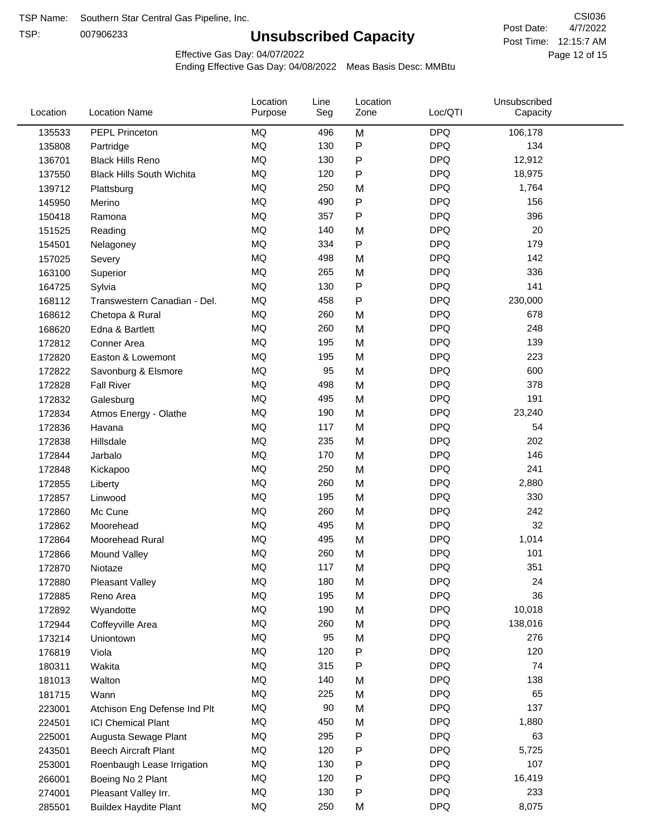TSP:

## **Unsubscribed Capacity**

4/7/2022 Page 12 of 15 Post Time: 12:15:7 AM CSI036 Post Date:

Effective Gas Day: 04/07/2022

| <b>DPQ</b><br>135533<br>PEPL Princeton<br>MQ<br>M<br>106,178<br>496<br>MQ<br><b>DPQ</b><br>130<br>P<br>134<br>135808<br>Partridge<br>P<br>MQ<br>130<br><b>DPQ</b><br>12,912<br>136701<br><b>Black Hills Reno</b><br>MQ<br>120<br>P<br><b>DPQ</b><br>18,975<br>137550<br><b>Black Hills South Wichita</b><br><b>MQ</b><br><b>DPQ</b><br>250<br>1,764<br>M<br>139712<br>Plattsburg<br><b>MQ</b><br><b>DPQ</b><br>490<br>P<br>156<br>145950<br>Merino<br><b>MQ</b><br><b>DPQ</b><br>396<br>357<br>P<br>150418<br>Ramona<br><b>MQ</b><br><b>DPQ</b><br>20<br>140<br>M<br>151525<br>Reading<br>MQ<br>334<br>P<br><b>DPQ</b><br>179<br>154501<br>Nelagoney<br><b>MQ</b><br><b>DPQ</b><br>498<br>M<br>142<br>157025<br>Severy<br>MQ<br><b>DPQ</b><br>336<br>265<br>M<br>163100<br>Superior<br>MQ<br>141<br>P<br><b>DPQ</b><br>130<br>164725<br>Sylvia<br>MQ<br><b>DPQ</b><br>458<br>P<br>230,000<br>168112<br>Transwestern Canadian - Del.<br>MQ<br><b>DPQ</b><br>678<br>260<br>M<br>168612<br>Chetopa & Rural<br>MQ<br><b>DPQ</b><br>248<br>260<br>M<br>168620<br>Edna & Bartlett<br>MQ<br><b>DPQ</b><br>139<br>195<br>M<br>172812<br>Conner Area<br><b>DPQ</b><br>MQ<br>195<br>223<br>M<br>172820<br>Easton & Lowemont<br><b>DPQ</b><br>MQ<br>95<br>M<br>600<br>172822<br>Savonburg & Elsmore<br>MQ<br><b>DPQ</b><br>378<br>498<br>M<br>172828<br><b>Fall River</b><br>MQ<br><b>DPQ</b><br>191<br>495<br>M<br>172832<br>Galesburg<br>MQ<br>190<br><b>DPQ</b><br>23,240<br>M<br>172834<br>Atmos Energy - Olathe<br>MQ<br><b>DPQ</b><br>54<br>117<br>M<br>172836<br>Havana<br>MQ<br><b>DPQ</b><br>202<br>235<br>M<br>172838<br>Hillsdale<br><b>MQ</b><br><b>DPQ</b><br>170<br>146<br>M<br>172844<br>Jarbalo<br><b>MQ</b><br><b>DPQ</b><br>241<br>250<br>M<br>172848<br>Kickapoo<br>MQ<br><b>DPQ</b><br>260<br>M<br>2,880<br>172855<br>Liberty<br><b>MQ</b><br><b>DPQ</b><br>195<br>330<br>M<br>172857<br>Linwood<br><b>MQ</b><br><b>DPQ</b><br>260<br>242<br>Mc Cune<br>172860<br>M<br><b>MQ</b><br><b>DPQ</b><br>32<br>495<br>M<br>172862<br>Moorehead<br>MQ<br>495<br><b>DPQ</b><br>1,014<br>M<br>172864<br>Moorehead Rural<br>MQ<br><b>DPQ</b><br>101<br>260<br>M<br>172866<br>Mound Valley<br>MQ<br><b>DPQ</b><br>117<br>351<br>172870<br>M<br>Niotaze<br>MQ<br>180<br><b>DPQ</b><br>24<br>M<br>172880<br><b>Pleasant Valley</b><br>$\sf{MQ}$<br><b>DPQ</b><br>36<br>195<br>M<br>172885<br>Reno Area<br>MQ<br><b>DPQ</b><br>10,018<br>190<br>M<br>172892<br>Wyandotte<br>$\sf{MQ}$<br>260<br><b>DPQ</b><br>138,016<br>172944<br>Coffeyville Area<br>M<br>MQ<br>95<br><b>DPQ</b><br>276<br>M<br>173214<br>Uniontown<br>MQ<br>P<br><b>DPQ</b><br>120<br>120<br>176819<br>Viola<br>MQ<br>315<br><b>DPQ</b><br>74<br>P<br>180311<br>Wakita<br>MQ<br>140<br><b>DPQ</b><br>138<br>181013<br>Walton<br>M<br>65<br>MQ<br><b>DPQ</b><br>225<br>181715<br>Wann<br>M<br>MQ<br><b>DPQ</b><br>137<br>90<br>M<br>223001<br>Atchison Eng Defense Ind Plt<br>$\sf{MQ}$<br><b>DPQ</b><br>450<br>1,880<br>224501<br><b>ICI Chemical Plant</b><br>M<br>MQ<br>295<br>P<br><b>DPQ</b><br>63<br>225001<br>Augusta Sewage Plant<br><b>DPQ</b><br>MQ<br>120<br>P<br>5,725<br>243501<br><b>Beech Aircraft Plant</b><br>MQ<br>130<br>P<br><b>DPQ</b><br>107<br>253001<br>Roenbaugh Lease Irrigation<br><b>DPQ</b><br>MQ<br>120<br>P<br>16,419<br>266001<br>Boeing No 2 Plant<br><b>DPQ</b><br>MQ<br>130<br>P<br>233<br>274001<br>Pleasant Valley Irr.<br><b>DPQ</b><br>MQ<br>250<br>8,075<br><b>Buildex Haydite Plant</b><br>285501<br>M | Location | <b>Location Name</b> | Location<br>Purpose | Line<br>Seg | Location<br>Zone | Loc/QTI | Unsubscribed<br>Capacity |  |
|-------------------------------------------------------------------------------------------------------------------------------------------------------------------------------------------------------------------------------------------------------------------------------------------------------------------------------------------------------------------------------------------------------------------------------------------------------------------------------------------------------------------------------------------------------------------------------------------------------------------------------------------------------------------------------------------------------------------------------------------------------------------------------------------------------------------------------------------------------------------------------------------------------------------------------------------------------------------------------------------------------------------------------------------------------------------------------------------------------------------------------------------------------------------------------------------------------------------------------------------------------------------------------------------------------------------------------------------------------------------------------------------------------------------------------------------------------------------------------------------------------------------------------------------------------------------------------------------------------------------------------------------------------------------------------------------------------------------------------------------------------------------------------------------------------------------------------------------------------------------------------------------------------------------------------------------------------------------------------------------------------------------------------------------------------------------------------------------------------------------------------------------------------------------------------------------------------------------------------------------------------------------------------------------------------------------------------------------------------------------------------------------------------------------------------------------------------------------------------------------------------------------------------------------------------------------------------------------------------------------------------------------------------------------------------------------------------------------------------------------------------------------------------------------------------------------------------------------------------------------------------------------------------------------------------------------------------------------------------------------------------------------------------------------------------------------------------------------------------------------------------------------------------------------------------------------------------------------------------------------------------------------------------------------------------------------------------------------------------------------------------------------------------------------------------------------------------------------------------------------------------------|----------|----------------------|---------------------|-------------|------------------|---------|--------------------------|--|
|                                                                                                                                                                                                                                                                                                                                                                                                                                                                                                                                                                                                                                                                                                                                                                                                                                                                                                                                                                                                                                                                                                                                                                                                                                                                                                                                                                                                                                                                                                                                                                                                                                                                                                                                                                                                                                                                                                                                                                                                                                                                                                                                                                                                                                                                                                                                                                                                                                                                                                                                                                                                                                                                                                                                                                                                                                                                                                                                                                                                                                                                                                                                                                                                                                                                                                                                                                                                                                                                                                             |          |                      |                     |             |                  |         |                          |  |
|                                                                                                                                                                                                                                                                                                                                                                                                                                                                                                                                                                                                                                                                                                                                                                                                                                                                                                                                                                                                                                                                                                                                                                                                                                                                                                                                                                                                                                                                                                                                                                                                                                                                                                                                                                                                                                                                                                                                                                                                                                                                                                                                                                                                                                                                                                                                                                                                                                                                                                                                                                                                                                                                                                                                                                                                                                                                                                                                                                                                                                                                                                                                                                                                                                                                                                                                                                                                                                                                                                             |          |                      |                     |             |                  |         |                          |  |
|                                                                                                                                                                                                                                                                                                                                                                                                                                                                                                                                                                                                                                                                                                                                                                                                                                                                                                                                                                                                                                                                                                                                                                                                                                                                                                                                                                                                                                                                                                                                                                                                                                                                                                                                                                                                                                                                                                                                                                                                                                                                                                                                                                                                                                                                                                                                                                                                                                                                                                                                                                                                                                                                                                                                                                                                                                                                                                                                                                                                                                                                                                                                                                                                                                                                                                                                                                                                                                                                                                             |          |                      |                     |             |                  |         |                          |  |
|                                                                                                                                                                                                                                                                                                                                                                                                                                                                                                                                                                                                                                                                                                                                                                                                                                                                                                                                                                                                                                                                                                                                                                                                                                                                                                                                                                                                                                                                                                                                                                                                                                                                                                                                                                                                                                                                                                                                                                                                                                                                                                                                                                                                                                                                                                                                                                                                                                                                                                                                                                                                                                                                                                                                                                                                                                                                                                                                                                                                                                                                                                                                                                                                                                                                                                                                                                                                                                                                                                             |          |                      |                     |             |                  |         |                          |  |
|                                                                                                                                                                                                                                                                                                                                                                                                                                                                                                                                                                                                                                                                                                                                                                                                                                                                                                                                                                                                                                                                                                                                                                                                                                                                                                                                                                                                                                                                                                                                                                                                                                                                                                                                                                                                                                                                                                                                                                                                                                                                                                                                                                                                                                                                                                                                                                                                                                                                                                                                                                                                                                                                                                                                                                                                                                                                                                                                                                                                                                                                                                                                                                                                                                                                                                                                                                                                                                                                                                             |          |                      |                     |             |                  |         |                          |  |
|                                                                                                                                                                                                                                                                                                                                                                                                                                                                                                                                                                                                                                                                                                                                                                                                                                                                                                                                                                                                                                                                                                                                                                                                                                                                                                                                                                                                                                                                                                                                                                                                                                                                                                                                                                                                                                                                                                                                                                                                                                                                                                                                                                                                                                                                                                                                                                                                                                                                                                                                                                                                                                                                                                                                                                                                                                                                                                                                                                                                                                                                                                                                                                                                                                                                                                                                                                                                                                                                                                             |          |                      |                     |             |                  |         |                          |  |
|                                                                                                                                                                                                                                                                                                                                                                                                                                                                                                                                                                                                                                                                                                                                                                                                                                                                                                                                                                                                                                                                                                                                                                                                                                                                                                                                                                                                                                                                                                                                                                                                                                                                                                                                                                                                                                                                                                                                                                                                                                                                                                                                                                                                                                                                                                                                                                                                                                                                                                                                                                                                                                                                                                                                                                                                                                                                                                                                                                                                                                                                                                                                                                                                                                                                                                                                                                                                                                                                                                             |          |                      |                     |             |                  |         |                          |  |
|                                                                                                                                                                                                                                                                                                                                                                                                                                                                                                                                                                                                                                                                                                                                                                                                                                                                                                                                                                                                                                                                                                                                                                                                                                                                                                                                                                                                                                                                                                                                                                                                                                                                                                                                                                                                                                                                                                                                                                                                                                                                                                                                                                                                                                                                                                                                                                                                                                                                                                                                                                                                                                                                                                                                                                                                                                                                                                                                                                                                                                                                                                                                                                                                                                                                                                                                                                                                                                                                                                             |          |                      |                     |             |                  |         |                          |  |
|                                                                                                                                                                                                                                                                                                                                                                                                                                                                                                                                                                                                                                                                                                                                                                                                                                                                                                                                                                                                                                                                                                                                                                                                                                                                                                                                                                                                                                                                                                                                                                                                                                                                                                                                                                                                                                                                                                                                                                                                                                                                                                                                                                                                                                                                                                                                                                                                                                                                                                                                                                                                                                                                                                                                                                                                                                                                                                                                                                                                                                                                                                                                                                                                                                                                                                                                                                                                                                                                                                             |          |                      |                     |             |                  |         |                          |  |
|                                                                                                                                                                                                                                                                                                                                                                                                                                                                                                                                                                                                                                                                                                                                                                                                                                                                                                                                                                                                                                                                                                                                                                                                                                                                                                                                                                                                                                                                                                                                                                                                                                                                                                                                                                                                                                                                                                                                                                                                                                                                                                                                                                                                                                                                                                                                                                                                                                                                                                                                                                                                                                                                                                                                                                                                                                                                                                                                                                                                                                                                                                                                                                                                                                                                                                                                                                                                                                                                                                             |          |                      |                     |             |                  |         |                          |  |
|                                                                                                                                                                                                                                                                                                                                                                                                                                                                                                                                                                                                                                                                                                                                                                                                                                                                                                                                                                                                                                                                                                                                                                                                                                                                                                                                                                                                                                                                                                                                                                                                                                                                                                                                                                                                                                                                                                                                                                                                                                                                                                                                                                                                                                                                                                                                                                                                                                                                                                                                                                                                                                                                                                                                                                                                                                                                                                                                                                                                                                                                                                                                                                                                                                                                                                                                                                                                                                                                                                             |          |                      |                     |             |                  |         |                          |  |
|                                                                                                                                                                                                                                                                                                                                                                                                                                                                                                                                                                                                                                                                                                                                                                                                                                                                                                                                                                                                                                                                                                                                                                                                                                                                                                                                                                                                                                                                                                                                                                                                                                                                                                                                                                                                                                                                                                                                                                                                                                                                                                                                                                                                                                                                                                                                                                                                                                                                                                                                                                                                                                                                                                                                                                                                                                                                                                                                                                                                                                                                                                                                                                                                                                                                                                                                                                                                                                                                                                             |          |                      |                     |             |                  |         |                          |  |
|                                                                                                                                                                                                                                                                                                                                                                                                                                                                                                                                                                                                                                                                                                                                                                                                                                                                                                                                                                                                                                                                                                                                                                                                                                                                                                                                                                                                                                                                                                                                                                                                                                                                                                                                                                                                                                                                                                                                                                                                                                                                                                                                                                                                                                                                                                                                                                                                                                                                                                                                                                                                                                                                                                                                                                                                                                                                                                                                                                                                                                                                                                                                                                                                                                                                                                                                                                                                                                                                                                             |          |                      |                     |             |                  |         |                          |  |
|                                                                                                                                                                                                                                                                                                                                                                                                                                                                                                                                                                                                                                                                                                                                                                                                                                                                                                                                                                                                                                                                                                                                                                                                                                                                                                                                                                                                                                                                                                                                                                                                                                                                                                                                                                                                                                                                                                                                                                                                                                                                                                                                                                                                                                                                                                                                                                                                                                                                                                                                                                                                                                                                                                                                                                                                                                                                                                                                                                                                                                                                                                                                                                                                                                                                                                                                                                                                                                                                                                             |          |                      |                     |             |                  |         |                          |  |
|                                                                                                                                                                                                                                                                                                                                                                                                                                                                                                                                                                                                                                                                                                                                                                                                                                                                                                                                                                                                                                                                                                                                                                                                                                                                                                                                                                                                                                                                                                                                                                                                                                                                                                                                                                                                                                                                                                                                                                                                                                                                                                                                                                                                                                                                                                                                                                                                                                                                                                                                                                                                                                                                                                                                                                                                                                                                                                                                                                                                                                                                                                                                                                                                                                                                                                                                                                                                                                                                                                             |          |                      |                     |             |                  |         |                          |  |
|                                                                                                                                                                                                                                                                                                                                                                                                                                                                                                                                                                                                                                                                                                                                                                                                                                                                                                                                                                                                                                                                                                                                                                                                                                                                                                                                                                                                                                                                                                                                                                                                                                                                                                                                                                                                                                                                                                                                                                                                                                                                                                                                                                                                                                                                                                                                                                                                                                                                                                                                                                                                                                                                                                                                                                                                                                                                                                                                                                                                                                                                                                                                                                                                                                                                                                                                                                                                                                                                                                             |          |                      |                     |             |                  |         |                          |  |
|                                                                                                                                                                                                                                                                                                                                                                                                                                                                                                                                                                                                                                                                                                                                                                                                                                                                                                                                                                                                                                                                                                                                                                                                                                                                                                                                                                                                                                                                                                                                                                                                                                                                                                                                                                                                                                                                                                                                                                                                                                                                                                                                                                                                                                                                                                                                                                                                                                                                                                                                                                                                                                                                                                                                                                                                                                                                                                                                                                                                                                                                                                                                                                                                                                                                                                                                                                                                                                                                                                             |          |                      |                     |             |                  |         |                          |  |
|                                                                                                                                                                                                                                                                                                                                                                                                                                                                                                                                                                                                                                                                                                                                                                                                                                                                                                                                                                                                                                                                                                                                                                                                                                                                                                                                                                                                                                                                                                                                                                                                                                                                                                                                                                                                                                                                                                                                                                                                                                                                                                                                                                                                                                                                                                                                                                                                                                                                                                                                                                                                                                                                                                                                                                                                                                                                                                                                                                                                                                                                                                                                                                                                                                                                                                                                                                                                                                                                                                             |          |                      |                     |             |                  |         |                          |  |
|                                                                                                                                                                                                                                                                                                                                                                                                                                                                                                                                                                                                                                                                                                                                                                                                                                                                                                                                                                                                                                                                                                                                                                                                                                                                                                                                                                                                                                                                                                                                                                                                                                                                                                                                                                                                                                                                                                                                                                                                                                                                                                                                                                                                                                                                                                                                                                                                                                                                                                                                                                                                                                                                                                                                                                                                                                                                                                                                                                                                                                                                                                                                                                                                                                                                                                                                                                                                                                                                                                             |          |                      |                     |             |                  |         |                          |  |
|                                                                                                                                                                                                                                                                                                                                                                                                                                                                                                                                                                                                                                                                                                                                                                                                                                                                                                                                                                                                                                                                                                                                                                                                                                                                                                                                                                                                                                                                                                                                                                                                                                                                                                                                                                                                                                                                                                                                                                                                                                                                                                                                                                                                                                                                                                                                                                                                                                                                                                                                                                                                                                                                                                                                                                                                                                                                                                                                                                                                                                                                                                                                                                                                                                                                                                                                                                                                                                                                                                             |          |                      |                     |             |                  |         |                          |  |
|                                                                                                                                                                                                                                                                                                                                                                                                                                                                                                                                                                                                                                                                                                                                                                                                                                                                                                                                                                                                                                                                                                                                                                                                                                                                                                                                                                                                                                                                                                                                                                                                                                                                                                                                                                                                                                                                                                                                                                                                                                                                                                                                                                                                                                                                                                                                                                                                                                                                                                                                                                                                                                                                                                                                                                                                                                                                                                                                                                                                                                                                                                                                                                                                                                                                                                                                                                                                                                                                                                             |          |                      |                     |             |                  |         |                          |  |
|                                                                                                                                                                                                                                                                                                                                                                                                                                                                                                                                                                                                                                                                                                                                                                                                                                                                                                                                                                                                                                                                                                                                                                                                                                                                                                                                                                                                                                                                                                                                                                                                                                                                                                                                                                                                                                                                                                                                                                                                                                                                                                                                                                                                                                                                                                                                                                                                                                                                                                                                                                                                                                                                                                                                                                                                                                                                                                                                                                                                                                                                                                                                                                                                                                                                                                                                                                                                                                                                                                             |          |                      |                     |             |                  |         |                          |  |
|                                                                                                                                                                                                                                                                                                                                                                                                                                                                                                                                                                                                                                                                                                                                                                                                                                                                                                                                                                                                                                                                                                                                                                                                                                                                                                                                                                                                                                                                                                                                                                                                                                                                                                                                                                                                                                                                                                                                                                                                                                                                                                                                                                                                                                                                                                                                                                                                                                                                                                                                                                                                                                                                                                                                                                                                                                                                                                                                                                                                                                                                                                                                                                                                                                                                                                                                                                                                                                                                                                             |          |                      |                     |             |                  |         |                          |  |
|                                                                                                                                                                                                                                                                                                                                                                                                                                                                                                                                                                                                                                                                                                                                                                                                                                                                                                                                                                                                                                                                                                                                                                                                                                                                                                                                                                                                                                                                                                                                                                                                                                                                                                                                                                                                                                                                                                                                                                                                                                                                                                                                                                                                                                                                                                                                                                                                                                                                                                                                                                                                                                                                                                                                                                                                                                                                                                                                                                                                                                                                                                                                                                                                                                                                                                                                                                                                                                                                                                             |          |                      |                     |             |                  |         |                          |  |
|                                                                                                                                                                                                                                                                                                                                                                                                                                                                                                                                                                                                                                                                                                                                                                                                                                                                                                                                                                                                                                                                                                                                                                                                                                                                                                                                                                                                                                                                                                                                                                                                                                                                                                                                                                                                                                                                                                                                                                                                                                                                                                                                                                                                                                                                                                                                                                                                                                                                                                                                                                                                                                                                                                                                                                                                                                                                                                                                                                                                                                                                                                                                                                                                                                                                                                                                                                                                                                                                                                             |          |                      |                     |             |                  |         |                          |  |
|                                                                                                                                                                                                                                                                                                                                                                                                                                                                                                                                                                                                                                                                                                                                                                                                                                                                                                                                                                                                                                                                                                                                                                                                                                                                                                                                                                                                                                                                                                                                                                                                                                                                                                                                                                                                                                                                                                                                                                                                                                                                                                                                                                                                                                                                                                                                                                                                                                                                                                                                                                                                                                                                                                                                                                                                                                                                                                                                                                                                                                                                                                                                                                                                                                                                                                                                                                                                                                                                                                             |          |                      |                     |             |                  |         |                          |  |
|                                                                                                                                                                                                                                                                                                                                                                                                                                                                                                                                                                                                                                                                                                                                                                                                                                                                                                                                                                                                                                                                                                                                                                                                                                                                                                                                                                                                                                                                                                                                                                                                                                                                                                                                                                                                                                                                                                                                                                                                                                                                                                                                                                                                                                                                                                                                                                                                                                                                                                                                                                                                                                                                                                                                                                                                                                                                                                                                                                                                                                                                                                                                                                                                                                                                                                                                                                                                                                                                                                             |          |                      |                     |             |                  |         |                          |  |
|                                                                                                                                                                                                                                                                                                                                                                                                                                                                                                                                                                                                                                                                                                                                                                                                                                                                                                                                                                                                                                                                                                                                                                                                                                                                                                                                                                                                                                                                                                                                                                                                                                                                                                                                                                                                                                                                                                                                                                                                                                                                                                                                                                                                                                                                                                                                                                                                                                                                                                                                                                                                                                                                                                                                                                                                                                                                                                                                                                                                                                                                                                                                                                                                                                                                                                                                                                                                                                                                                                             |          |                      |                     |             |                  |         |                          |  |
|                                                                                                                                                                                                                                                                                                                                                                                                                                                                                                                                                                                                                                                                                                                                                                                                                                                                                                                                                                                                                                                                                                                                                                                                                                                                                                                                                                                                                                                                                                                                                                                                                                                                                                                                                                                                                                                                                                                                                                                                                                                                                                                                                                                                                                                                                                                                                                                                                                                                                                                                                                                                                                                                                                                                                                                                                                                                                                                                                                                                                                                                                                                                                                                                                                                                                                                                                                                                                                                                                                             |          |                      |                     |             |                  |         |                          |  |
|                                                                                                                                                                                                                                                                                                                                                                                                                                                                                                                                                                                                                                                                                                                                                                                                                                                                                                                                                                                                                                                                                                                                                                                                                                                                                                                                                                                                                                                                                                                                                                                                                                                                                                                                                                                                                                                                                                                                                                                                                                                                                                                                                                                                                                                                                                                                                                                                                                                                                                                                                                                                                                                                                                                                                                                                                                                                                                                                                                                                                                                                                                                                                                                                                                                                                                                                                                                                                                                                                                             |          |                      |                     |             |                  |         |                          |  |
|                                                                                                                                                                                                                                                                                                                                                                                                                                                                                                                                                                                                                                                                                                                                                                                                                                                                                                                                                                                                                                                                                                                                                                                                                                                                                                                                                                                                                                                                                                                                                                                                                                                                                                                                                                                                                                                                                                                                                                                                                                                                                                                                                                                                                                                                                                                                                                                                                                                                                                                                                                                                                                                                                                                                                                                                                                                                                                                                                                                                                                                                                                                                                                                                                                                                                                                                                                                                                                                                                                             |          |                      |                     |             |                  |         |                          |  |
|                                                                                                                                                                                                                                                                                                                                                                                                                                                                                                                                                                                                                                                                                                                                                                                                                                                                                                                                                                                                                                                                                                                                                                                                                                                                                                                                                                                                                                                                                                                                                                                                                                                                                                                                                                                                                                                                                                                                                                                                                                                                                                                                                                                                                                                                                                                                                                                                                                                                                                                                                                                                                                                                                                                                                                                                                                                                                                                                                                                                                                                                                                                                                                                                                                                                                                                                                                                                                                                                                                             |          |                      |                     |             |                  |         |                          |  |
|                                                                                                                                                                                                                                                                                                                                                                                                                                                                                                                                                                                                                                                                                                                                                                                                                                                                                                                                                                                                                                                                                                                                                                                                                                                                                                                                                                                                                                                                                                                                                                                                                                                                                                                                                                                                                                                                                                                                                                                                                                                                                                                                                                                                                                                                                                                                                                                                                                                                                                                                                                                                                                                                                                                                                                                                                                                                                                                                                                                                                                                                                                                                                                                                                                                                                                                                                                                                                                                                                                             |          |                      |                     |             |                  |         |                          |  |
|                                                                                                                                                                                                                                                                                                                                                                                                                                                                                                                                                                                                                                                                                                                                                                                                                                                                                                                                                                                                                                                                                                                                                                                                                                                                                                                                                                                                                                                                                                                                                                                                                                                                                                                                                                                                                                                                                                                                                                                                                                                                                                                                                                                                                                                                                                                                                                                                                                                                                                                                                                                                                                                                                                                                                                                                                                                                                                                                                                                                                                                                                                                                                                                                                                                                                                                                                                                                                                                                                                             |          |                      |                     |             |                  |         |                          |  |
|                                                                                                                                                                                                                                                                                                                                                                                                                                                                                                                                                                                                                                                                                                                                                                                                                                                                                                                                                                                                                                                                                                                                                                                                                                                                                                                                                                                                                                                                                                                                                                                                                                                                                                                                                                                                                                                                                                                                                                                                                                                                                                                                                                                                                                                                                                                                                                                                                                                                                                                                                                                                                                                                                                                                                                                                                                                                                                                                                                                                                                                                                                                                                                                                                                                                                                                                                                                                                                                                                                             |          |                      |                     |             |                  |         |                          |  |
|                                                                                                                                                                                                                                                                                                                                                                                                                                                                                                                                                                                                                                                                                                                                                                                                                                                                                                                                                                                                                                                                                                                                                                                                                                                                                                                                                                                                                                                                                                                                                                                                                                                                                                                                                                                                                                                                                                                                                                                                                                                                                                                                                                                                                                                                                                                                                                                                                                                                                                                                                                                                                                                                                                                                                                                                                                                                                                                                                                                                                                                                                                                                                                                                                                                                                                                                                                                                                                                                                                             |          |                      |                     |             |                  |         |                          |  |
|                                                                                                                                                                                                                                                                                                                                                                                                                                                                                                                                                                                                                                                                                                                                                                                                                                                                                                                                                                                                                                                                                                                                                                                                                                                                                                                                                                                                                                                                                                                                                                                                                                                                                                                                                                                                                                                                                                                                                                                                                                                                                                                                                                                                                                                                                                                                                                                                                                                                                                                                                                                                                                                                                                                                                                                                                                                                                                                                                                                                                                                                                                                                                                                                                                                                                                                                                                                                                                                                                                             |          |                      |                     |             |                  |         |                          |  |
|                                                                                                                                                                                                                                                                                                                                                                                                                                                                                                                                                                                                                                                                                                                                                                                                                                                                                                                                                                                                                                                                                                                                                                                                                                                                                                                                                                                                                                                                                                                                                                                                                                                                                                                                                                                                                                                                                                                                                                                                                                                                                                                                                                                                                                                                                                                                                                                                                                                                                                                                                                                                                                                                                                                                                                                                                                                                                                                                                                                                                                                                                                                                                                                                                                                                                                                                                                                                                                                                                                             |          |                      |                     |             |                  |         |                          |  |
|                                                                                                                                                                                                                                                                                                                                                                                                                                                                                                                                                                                                                                                                                                                                                                                                                                                                                                                                                                                                                                                                                                                                                                                                                                                                                                                                                                                                                                                                                                                                                                                                                                                                                                                                                                                                                                                                                                                                                                                                                                                                                                                                                                                                                                                                                                                                                                                                                                                                                                                                                                                                                                                                                                                                                                                                                                                                                                                                                                                                                                                                                                                                                                                                                                                                                                                                                                                                                                                                                                             |          |                      |                     |             |                  |         |                          |  |
|                                                                                                                                                                                                                                                                                                                                                                                                                                                                                                                                                                                                                                                                                                                                                                                                                                                                                                                                                                                                                                                                                                                                                                                                                                                                                                                                                                                                                                                                                                                                                                                                                                                                                                                                                                                                                                                                                                                                                                                                                                                                                                                                                                                                                                                                                                                                                                                                                                                                                                                                                                                                                                                                                                                                                                                                                                                                                                                                                                                                                                                                                                                                                                                                                                                                                                                                                                                                                                                                                                             |          |                      |                     |             |                  |         |                          |  |
|                                                                                                                                                                                                                                                                                                                                                                                                                                                                                                                                                                                                                                                                                                                                                                                                                                                                                                                                                                                                                                                                                                                                                                                                                                                                                                                                                                                                                                                                                                                                                                                                                                                                                                                                                                                                                                                                                                                                                                                                                                                                                                                                                                                                                                                                                                                                                                                                                                                                                                                                                                                                                                                                                                                                                                                                                                                                                                                                                                                                                                                                                                                                                                                                                                                                                                                                                                                                                                                                                                             |          |                      |                     |             |                  |         |                          |  |
|                                                                                                                                                                                                                                                                                                                                                                                                                                                                                                                                                                                                                                                                                                                                                                                                                                                                                                                                                                                                                                                                                                                                                                                                                                                                                                                                                                                                                                                                                                                                                                                                                                                                                                                                                                                                                                                                                                                                                                                                                                                                                                                                                                                                                                                                                                                                                                                                                                                                                                                                                                                                                                                                                                                                                                                                                                                                                                                                                                                                                                                                                                                                                                                                                                                                                                                                                                                                                                                                                                             |          |                      |                     |             |                  |         |                          |  |
|                                                                                                                                                                                                                                                                                                                                                                                                                                                                                                                                                                                                                                                                                                                                                                                                                                                                                                                                                                                                                                                                                                                                                                                                                                                                                                                                                                                                                                                                                                                                                                                                                                                                                                                                                                                                                                                                                                                                                                                                                                                                                                                                                                                                                                                                                                                                                                                                                                                                                                                                                                                                                                                                                                                                                                                                                                                                                                                                                                                                                                                                                                                                                                                                                                                                                                                                                                                                                                                                                                             |          |                      |                     |             |                  |         |                          |  |
|                                                                                                                                                                                                                                                                                                                                                                                                                                                                                                                                                                                                                                                                                                                                                                                                                                                                                                                                                                                                                                                                                                                                                                                                                                                                                                                                                                                                                                                                                                                                                                                                                                                                                                                                                                                                                                                                                                                                                                                                                                                                                                                                                                                                                                                                                                                                                                                                                                                                                                                                                                                                                                                                                                                                                                                                                                                                                                                                                                                                                                                                                                                                                                                                                                                                                                                                                                                                                                                                                                             |          |                      |                     |             |                  |         |                          |  |
|                                                                                                                                                                                                                                                                                                                                                                                                                                                                                                                                                                                                                                                                                                                                                                                                                                                                                                                                                                                                                                                                                                                                                                                                                                                                                                                                                                                                                                                                                                                                                                                                                                                                                                                                                                                                                                                                                                                                                                                                                                                                                                                                                                                                                                                                                                                                                                                                                                                                                                                                                                                                                                                                                                                                                                                                                                                                                                                                                                                                                                                                                                                                                                                                                                                                                                                                                                                                                                                                                                             |          |                      |                     |             |                  |         |                          |  |
|                                                                                                                                                                                                                                                                                                                                                                                                                                                                                                                                                                                                                                                                                                                                                                                                                                                                                                                                                                                                                                                                                                                                                                                                                                                                                                                                                                                                                                                                                                                                                                                                                                                                                                                                                                                                                                                                                                                                                                                                                                                                                                                                                                                                                                                                                                                                                                                                                                                                                                                                                                                                                                                                                                                                                                                                                                                                                                                                                                                                                                                                                                                                                                                                                                                                                                                                                                                                                                                                                                             |          |                      |                     |             |                  |         |                          |  |
|                                                                                                                                                                                                                                                                                                                                                                                                                                                                                                                                                                                                                                                                                                                                                                                                                                                                                                                                                                                                                                                                                                                                                                                                                                                                                                                                                                                                                                                                                                                                                                                                                                                                                                                                                                                                                                                                                                                                                                                                                                                                                                                                                                                                                                                                                                                                                                                                                                                                                                                                                                                                                                                                                                                                                                                                                                                                                                                                                                                                                                                                                                                                                                                                                                                                                                                                                                                                                                                                                                             |          |                      |                     |             |                  |         |                          |  |
|                                                                                                                                                                                                                                                                                                                                                                                                                                                                                                                                                                                                                                                                                                                                                                                                                                                                                                                                                                                                                                                                                                                                                                                                                                                                                                                                                                                                                                                                                                                                                                                                                                                                                                                                                                                                                                                                                                                                                                                                                                                                                                                                                                                                                                                                                                                                                                                                                                                                                                                                                                                                                                                                                                                                                                                                                                                                                                                                                                                                                                                                                                                                                                                                                                                                                                                                                                                                                                                                                                             |          |                      |                     |             |                  |         |                          |  |
|                                                                                                                                                                                                                                                                                                                                                                                                                                                                                                                                                                                                                                                                                                                                                                                                                                                                                                                                                                                                                                                                                                                                                                                                                                                                                                                                                                                                                                                                                                                                                                                                                                                                                                                                                                                                                                                                                                                                                                                                                                                                                                                                                                                                                                                                                                                                                                                                                                                                                                                                                                                                                                                                                                                                                                                                                                                                                                                                                                                                                                                                                                                                                                                                                                                                                                                                                                                                                                                                                                             |          |                      |                     |             |                  |         |                          |  |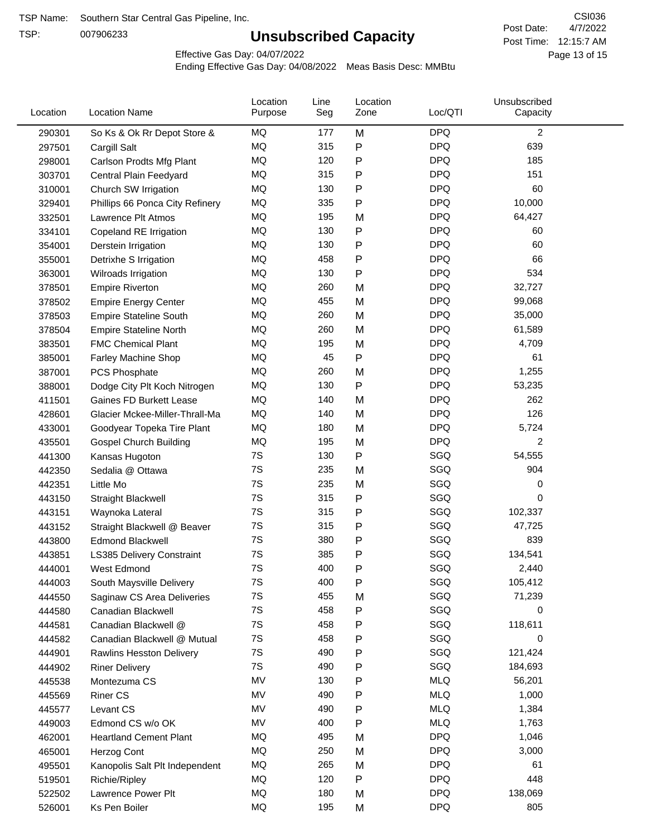TSP:

## **Unsubscribed Capacity**

4/7/2022 Page 13 of 15 Post Time: 12:15:7 AM CSI036 Post Date:

Effective Gas Day: 04/07/2022

| Location | <b>Location Name</b>             | Location<br>Purpose | Line<br>Seg | Location<br>Zone | Loc/QTI    | Unsubscribed<br>Capacity |  |
|----------|----------------------------------|---------------------|-------------|------------------|------------|--------------------------|--|
| 290301   | So Ks & Ok Rr Depot Store &      | MQ                  | 177         | M                | <b>DPQ</b> | $\overline{c}$           |  |
| 297501   | Cargill Salt                     | MQ                  | 315         | P                | <b>DPQ</b> | 639                      |  |
| 298001   | Carlson Prodts Mfg Plant         | MQ                  | 120         | Ρ                | <b>DPQ</b> | 185                      |  |
| 303701   | Central Plain Feedyard           | MQ                  | 315         | Ρ                | <b>DPQ</b> | 151                      |  |
| 310001   | Church SW Irrigation             | MQ                  | 130         | Ρ                | <b>DPQ</b> | 60                       |  |
| 329401   | Phillips 66 Ponca City Refinery  | MQ                  | 335         | P                | <b>DPQ</b> | 10,000                   |  |
| 332501   | Lawrence Plt Atmos               | MQ                  | 195         | M                | <b>DPQ</b> | 64,427                   |  |
| 334101   | Copeland RE Irrigation           | MQ                  | 130         | P                | <b>DPQ</b> | 60                       |  |
| 354001   | Derstein Irrigation              | MQ                  | 130         | Ρ                | <b>DPQ</b> | 60                       |  |
| 355001   | Detrixhe S Irrigation            | MQ                  | 458         | Ρ                | <b>DPQ</b> | 66                       |  |
| 363001   | Wilroads Irrigation              | MQ                  | 130         | P                | <b>DPQ</b> | 534                      |  |
| 378501   | <b>Empire Riverton</b>           | MQ                  | 260         | M                | <b>DPQ</b> | 32,727                   |  |
| 378502   | <b>Empire Energy Center</b>      | MQ                  | 455         | M                | <b>DPQ</b> | 99,068                   |  |
| 378503   | <b>Empire Stateline South</b>    | MQ                  | 260         | M                | <b>DPQ</b> | 35,000                   |  |
| 378504   | <b>Empire Stateline North</b>    | MQ                  | 260         | M                | <b>DPQ</b> | 61,589                   |  |
| 383501   | <b>FMC Chemical Plant</b>        | MQ                  | 195         | M                | <b>DPQ</b> | 4,709                    |  |
| 385001   | Farley Machine Shop              | MQ                  | 45          | P                | <b>DPQ</b> | 61                       |  |
| 387001   | <b>PCS Phosphate</b>             | MQ                  | 260         | M                | <b>DPQ</b> | 1,255                    |  |
| 388001   | Dodge City Plt Koch Nitrogen     | MQ                  | 130         | Ρ                | <b>DPQ</b> | 53,235                   |  |
| 411501   | Gaines FD Burkett Lease          | MQ                  | 140         | M                | <b>DPQ</b> | 262                      |  |
| 428601   | Glacier Mckee-Miller-Thrall-Ma   | MQ                  | 140         | M                | <b>DPQ</b> | 126                      |  |
| 433001   | Goodyear Topeka Tire Plant       | MQ                  | 180         | M                | <b>DPQ</b> | 5,724                    |  |
| 435501   | <b>Gospel Church Building</b>    | MQ                  | 195         | M                | <b>DPQ</b> | 2                        |  |
| 441300   | Kansas Hugoton                   | 7S                  | 130         | Ρ                | SGQ        | 54,555                   |  |
| 442350   | Sedalia @ Ottawa                 | 7S                  | 235         | M                | SGQ        | 904                      |  |
| 442351   | Little Mo                        | 7S                  | 235         | M                | SGQ        | 0                        |  |
| 443150   | <b>Straight Blackwell</b>        | 7S                  | 315         | P                | SGQ        | 0                        |  |
| 443151   | Waynoka Lateral                  | 7S                  | 315         | Ρ                | SGQ        | 102,337                  |  |
| 443152   | Straight Blackwell @ Beaver      | 7S                  | 315         | P                | SGQ        | 47,725                   |  |
| 443800   | <b>Edmond Blackwell</b>          | 7S                  | 380         | Ρ                | SGQ        | 839                      |  |
| 443851   | <b>LS385 Delivery Constraint</b> | 7S                  | 385         | Ρ                | SGQ        | 134,541                  |  |
| 444001   | West Edmond                      | 7S                  | 400         | Ρ                | SGQ        | 2,440                    |  |
| 444003   | South Maysville Delivery         | 7S                  | 400         | Ρ                | SGQ        | 105,412                  |  |
| 444550   | Saginaw CS Area Deliveries       | 7S                  | 455         | M                | SGQ        | 71,239                   |  |
| 444580   | Canadian Blackwell               | 7S                  | 458         | Ρ                | SGQ        | 0                        |  |
| 444581   | Canadian Blackwell @             | 7S                  | 458         | Ρ                | SGQ        | 118,611                  |  |
| 444582   | Canadian Blackwell @ Mutual      | 7S                  | 458         | Ρ                | SGQ        | 0                        |  |
| 444901   | <b>Rawlins Hesston Delivery</b>  | 7S                  | 490         | Ρ                | SGQ        | 121,424                  |  |
| 444902   | <b>Riner Delivery</b>            | 7S                  | 490         | Ρ                | SGQ        | 184,693                  |  |
| 445538   | Montezuma CS                     | MV                  | 130         | Ρ                | <b>MLQ</b> | 56,201                   |  |
| 445569   | <b>Riner CS</b>                  | MV                  | 490         | Ρ                | <b>MLQ</b> | 1,000                    |  |
| 445577   | Levant CS                        | MV                  | 490         | Ρ                | <b>MLQ</b> | 1,384                    |  |
| 449003   | Edmond CS w/o OK                 | MV                  | 400         | P                | <b>MLQ</b> | 1,763                    |  |
| 462001   | <b>Heartland Cement Plant</b>    | MQ                  | 495         | M                | <b>DPQ</b> | 1,046                    |  |
| 465001   | Herzog Cont                      | MQ                  | 250         | M                | <b>DPQ</b> | 3,000                    |  |
| 495501   | Kanopolis Salt Plt Independent   | MQ                  | 265         | M                | <b>DPQ</b> | 61                       |  |
| 519501   | Richie/Ripley                    | MQ                  | 120         | Ρ                | <b>DPQ</b> | 448                      |  |
| 522502   | Lawrence Power Plt               | MQ                  | 180         | M                | <b>DPQ</b> | 138,069                  |  |
| 526001   | Ks Pen Boiler                    | MQ                  | 195         | M                | <b>DPQ</b> | 805                      |  |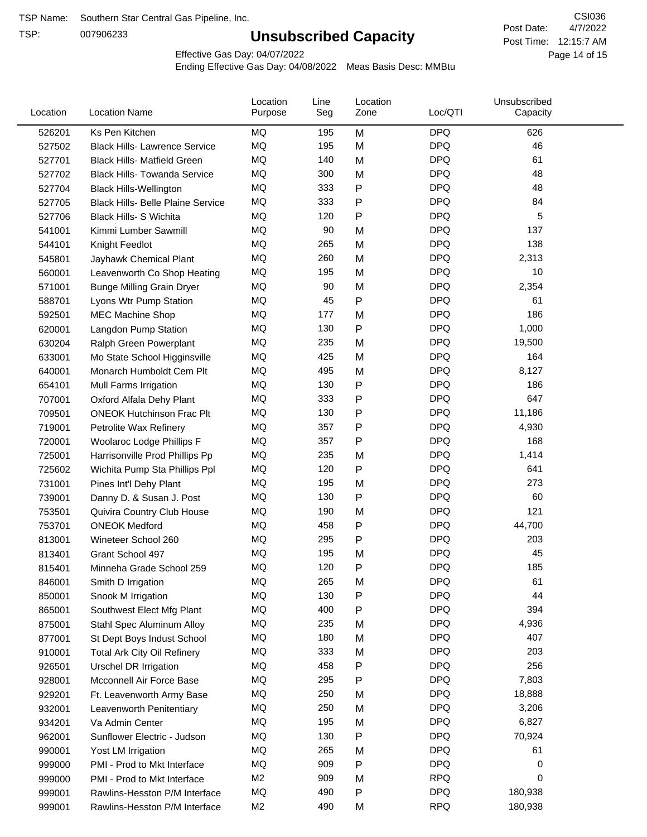TSP:

## **Unsubscribed Capacity**

4/7/2022 Page 14 of 15 Post Time: 12:15:7 AM CSI036 Post Date:

Effective Gas Day: 04/07/2022

| Location | <b>Location Name</b>                     | Location<br>Purpose | Line<br>Seg | Location<br>Zone | Loc/QTI    | Unsubscribed<br>Capacity |  |
|----------|------------------------------------------|---------------------|-------------|------------------|------------|--------------------------|--|
| 526201   | Ks Pen Kitchen                           | MQ                  | 195         | M                | <b>DPQ</b> | 626                      |  |
| 527502   | <b>Black Hills- Lawrence Service</b>     | MQ                  | 195         | M                | <b>DPQ</b> | 46                       |  |
| 527701   | <b>Black Hills- Matfield Green</b>       | MQ                  | 140         | M                | <b>DPQ</b> | 61                       |  |
| 527702   | <b>Black Hills- Towanda Service</b>      | <b>MQ</b>           | 300         | M                | <b>DPQ</b> | 48                       |  |
| 527704   | <b>Black Hills-Wellington</b>            | MQ                  | 333         | Ρ                | <b>DPQ</b> | 48                       |  |
| 527705   | <b>Black Hills- Belle Plaine Service</b> | MQ                  | 333         | P                | <b>DPQ</b> | 84                       |  |
| 527706   | Black Hills- S Wichita                   | MQ                  | 120         | Ρ                | <b>DPQ</b> | 5                        |  |
| 541001   | Kimmi Lumber Sawmill                     | MQ                  | 90          | M                | <b>DPQ</b> | 137                      |  |
| 544101   | Knight Feedlot                           | MQ                  | 265         | M                | <b>DPQ</b> | 138                      |  |
| 545801   | Jayhawk Chemical Plant                   | MQ                  | 260         | M                | <b>DPQ</b> | 2,313                    |  |
| 560001   | Leavenworth Co Shop Heating              | MQ                  | 195         | M                | <b>DPQ</b> | 10                       |  |
| 571001   | <b>Bunge Milling Grain Dryer</b>         | MQ                  | 90          | M                | <b>DPQ</b> | 2,354                    |  |
| 588701   | Lyons Wtr Pump Station                   | MQ                  | 45          | P                | <b>DPQ</b> | 61                       |  |
| 592501   | <b>MEC Machine Shop</b>                  | MQ                  | 177         | M                | <b>DPQ</b> | 186                      |  |
| 620001   | Langdon Pump Station                     | MQ                  | 130         | Ρ                | <b>DPQ</b> | 1,000                    |  |
| 630204   | Ralph Green Powerplant                   | MQ                  | 235         | M                | <b>DPQ</b> | 19,500                   |  |
| 633001   | Mo State School Higginsville             | MQ                  | 425         | M                | <b>DPQ</b> | 164                      |  |
| 640001   | Monarch Humboldt Cem Plt                 | MQ                  | 495         | M                | <b>DPQ</b> | 8,127                    |  |
| 654101   | Mull Farms Irrigation                    | MQ                  | 130         | Ρ                | <b>DPQ</b> | 186                      |  |
| 707001   | Oxford Alfala Dehy Plant                 | MQ                  | 333         | P                | <b>DPQ</b> | 647                      |  |
| 709501   | <b>ONEOK Hutchinson Frac Plt</b>         | MQ                  | 130         | Ρ                | <b>DPQ</b> | 11,186                   |  |
| 719001   | Petrolite Wax Refinery                   | MQ                  | 357         | Ρ                | <b>DPQ</b> | 4,930                    |  |
| 720001   | Woolaroc Lodge Phillips F                | MQ                  | 357         | Ρ                | <b>DPQ</b> | 168                      |  |
| 725001   | Harrisonville Prod Phillips Pp           | MQ                  | 235         | M                | <b>DPQ</b> | 1,414                    |  |
| 725602   | Wichita Pump Sta Phillips Ppl            | MQ                  | 120         | Ρ                | <b>DPQ</b> | 641                      |  |
| 731001   | Pines Int'l Dehy Plant                   | MQ                  | 195         | M                | <b>DPQ</b> | 273                      |  |
| 739001   | Danny D. & Susan J. Post                 | MQ                  | 130         | P                | <b>DPQ</b> | 60                       |  |
| 753501   | Quivira Country Club House               | MQ                  | 190         | M                | <b>DPQ</b> | 121                      |  |
| 753701   | <b>ONEOK Medford</b>                     | MQ                  | 458         | P                | <b>DPQ</b> | 44,700                   |  |
| 813001   | Wineteer School 260                      | MQ                  | 295         | Ρ                | <b>DPQ</b> | 203                      |  |
| 813401   | Grant School 497                         | MQ                  | 195         | M                | <b>DPQ</b> | 45                       |  |
| 815401   | Minneha Grade School 259                 | MQ                  | 120         | Ρ                | <b>DPQ</b> | 185                      |  |
| 846001   | Smith D Irrigation                       | MQ                  | 265         | M                | <b>DPQ</b> | 61                       |  |
| 850001   | Snook M Irrigation                       | MQ                  | 130         | P                | <b>DPQ</b> | 44                       |  |
| 865001   | Southwest Elect Mfg Plant                | MQ                  | 400         | Ρ                | <b>DPQ</b> | 394                      |  |
| 875001   | Stahl Spec Aluminum Alloy                | MQ                  | 235         | M                | <b>DPQ</b> | 4,936                    |  |
| 877001   | St Dept Boys Indust School               | MQ                  | 180         | M                | <b>DPQ</b> | 407                      |  |
| 910001   | <b>Total Ark City Oil Refinery</b>       | MQ                  | 333         | M                | <b>DPQ</b> | 203                      |  |
| 926501   | <b>Urschel DR Irrigation</b>             | MQ                  | 458         | Ρ                | <b>DPQ</b> | 256                      |  |
| 928001   | Mcconnell Air Force Base                 | MQ                  | 295         | Ρ                | <b>DPQ</b> | 7,803                    |  |
| 929201   | Ft. Leavenworth Army Base                | MQ                  | 250         | M                | <b>DPQ</b> | 18,888                   |  |
| 932001   | Leavenworth Penitentiary                 | MQ                  | 250         | M                | <b>DPQ</b> | 3,206                    |  |
| 934201   | Va Admin Center                          | MQ                  | 195         | M                | <b>DPQ</b> | 6,827                    |  |
| 962001   | Sunflower Electric - Judson              | MQ                  | 130         | Ρ                | <b>DPQ</b> | 70,924                   |  |
| 990001   | Yost LM Irrigation                       | MQ                  | 265         | M                | <b>DPQ</b> | 61                       |  |
| 999000   | PMI - Prod to Mkt Interface              | MQ                  | 909         | Ρ                | <b>DPQ</b> | 0                        |  |
| 999000   | PMI - Prod to Mkt Interface              | M <sub>2</sub>      | 909         | M                | <b>RPQ</b> | 0                        |  |
| 999001   | Rawlins-Hesston P/M Interface            | MQ                  | 490         | P                | <b>DPQ</b> | 180,938                  |  |
| 999001   | Rawlins-Hesston P/M Interface            | M <sub>2</sub>      | 490         | M                | <b>RPQ</b> | 180,938                  |  |